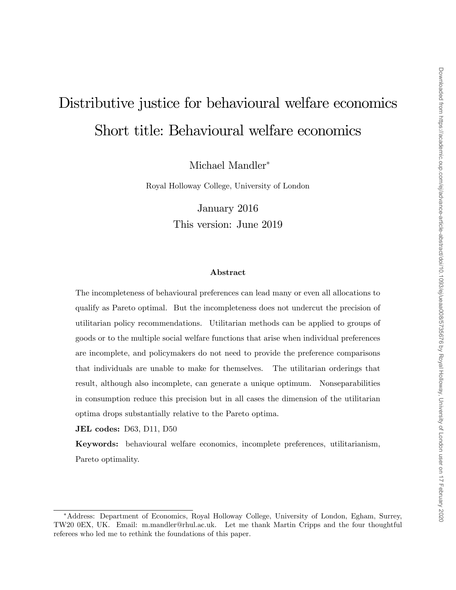# Distributive justice for behavioural welfare economics Short title: Behavioural welfare economics

Michael Mandler

Royal Holloway College, University of London

January 2016 This version: June 2019

#### Abstract

The incompleteness of behavioural preferences can lead many or even all allocations to qualify as Pareto optimal. But the incompleteness does not undercut the precision of utilitarian policy recommendations. Utilitarian methods can be applied to groups of goods or to the multiple social welfare functions that arise when individual preferences are incomplete, and policymakers do not need to provide the preference comparisons that individuals are unable to make for themselves. The utilitarian orderings that result, although also incomplete, can generate a unique optimum. Nonseparabilities in consumption reduce this precision but in all cases the dimension of the utilitarian optima drops substantially relative to the Pareto optima.

JEL codes: D63, D11, D50

Keywords: behavioural welfare economics, incomplete preferences, utilitarianism, Pareto optimality.

Address: Department of Economics, Royal Holloway College, University of London, Egham, Surrey, TW20 0EX, UK. Email: m.mandler@rhul.ac.uk. Let me thank Martin Cripps and the four thoughtful referees who led me to rethink the foundations of this paper.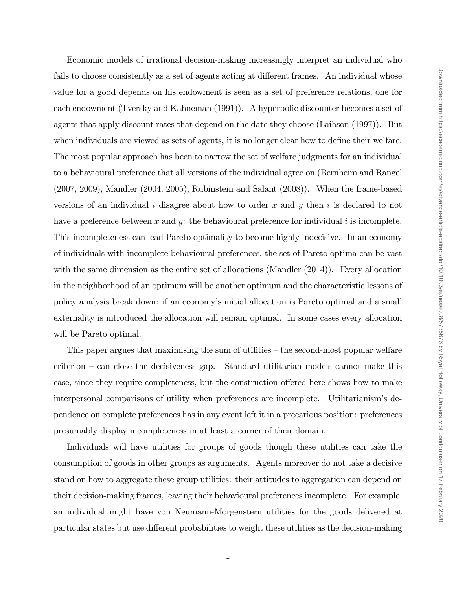Economic models of irrational decision-making increasingly interpret an individual who fails to choose consistently as a set of agents acting at different frames. An individual whose value for a good depends on his endowment is seen as a set of preference relations, one for each endowment (Tversky and Kahneman (1991)). A hyperbolic discounter becomes a set of agents that apply discount rates that depend on the date they choose (Laibson (1997)). But when individuals are viewed as sets of agents, it is no longer clear how to define their welfare. The most popular approach has been to narrow the set of welfare judgments for an individual to a behavioural preference that all versions of the individual agree on (Bernheim and Rangel (2007, 2009), Mandler (2004, 2005), Rubinstein and Salant (2008)). When the frame-based versions of an individual  $i$  disagree about how to order  $x$  and  $y$  then  $i$  is declared to not have a preference between  $x$  and  $y$ : the behavioural preference for individual  $i$  is incomplete. This incompleteness can lead Pareto optimality to become highly indecisive. In an economy of individuals with incomplete behavioural preferences, the set of Pareto optima can be vast with the same dimension as the entire set of allocations (Mandler (2014)). Every allocation in the neighborhood of an optimum will be another optimum and the characteristic lessons of policy analysis break down: if an economyís initial allocation is Pareto optimal and a small externality is introduced the allocation will remain optimal. In some cases every allocation will be Pareto optimal.

This paper argues that maximising the sum of utilities  $-\theta$  the second-most popular welfare  $criterion - can close the decisions gap. Standard utilization models cannot make this$ case, since they require completeness, but the construction offered here shows how to make interpersonal comparisons of utility when preferences are incomplete. Utilitarianism's dependence on complete preferences has in any event left it in a precarious position: preferences presumably display incompleteness in at least a corner of their domain.

Individuals will have utilities for groups of goods though these utilities can take the consumption of goods in other groups as arguments. Agents moreover do not take a decisive stand on how to aggregate these group utilities: their attitudes to aggregation can depend on their decision-making frames, leaving their behavioural preferences incomplete. For example, an individual might have von Neumann-Morgenstern utilities for the goods delivered at particular states but use different probabilities to weight these utilities as the decision-making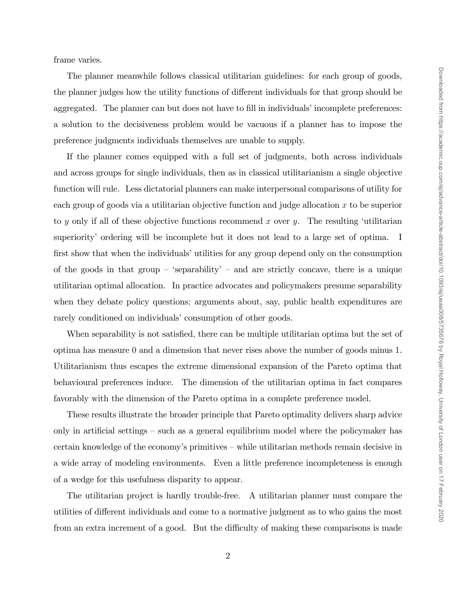frame varies.

The planner meanwhile follows classical utilitarian guidelines: for each group of goods, the planner judges how the utility functions of different individuals for that group should be aggregated. The planner can but does not have to fill in individuals' incomplete preferences: a solution to the decisiveness problem would be vacuous if a planner has to impose the preference judgments individuals themselves are unable to supply.

If the planner comes equipped with a full set of judgments, both across individuals and across groups for single individuals, then as in classical utilitarianism a single objective function will rule. Less dictatorial planners can make interpersonal comparisons of utility for each group of goods via a utilitarian objective function and judge allocation  $x$  to be superior to y only if all of these objective functions recommend x over y. The resulting 'utilitarian superiority' ordering will be incomplete but it does not lead to a large set of optima. I first show that when the individuals' utilities for any group depend only on the consumption of the goods in that group – 'separability' – and are strictly concave, there is a unique utilitarian optimal allocation. In practice advocates and policymakers presume separability when they debate policy questions; arguments about, say, public health expenditures are rarely conditioned on individuals' consumption of other goods.

When separability is not satisfied, there can be multiple utilitarian optima but the set of optima has measure 0 and a dimension that never rises above the number of goods minus 1. Utilitarianism thus escapes the extreme dimensional expansion of the Pareto optima that behavioural preferences induce. The dimension of the utilitarian optima in fact compares favorably with the dimension of the Pareto optima in a complete preference model.

These results illustrate the broader principle that Pareto optimality delivers sharp advice only in artificial settings  $\sim$  such as a general equilibrium model where the policymaker has certain knowledge of the economy's primitives – while utilitarian methods remain decisive in a wide array of modeling environments. Even a little preference incompleteness is enough of a wedge for this usefulness disparity to appear.

The utilitarian project is hardly trouble-free. A utilitarian planner must compare the utilities of different individuals and come to a normative judgment as to who gains the most from an extra increment of a good. But the difficulty of making these comparisons is made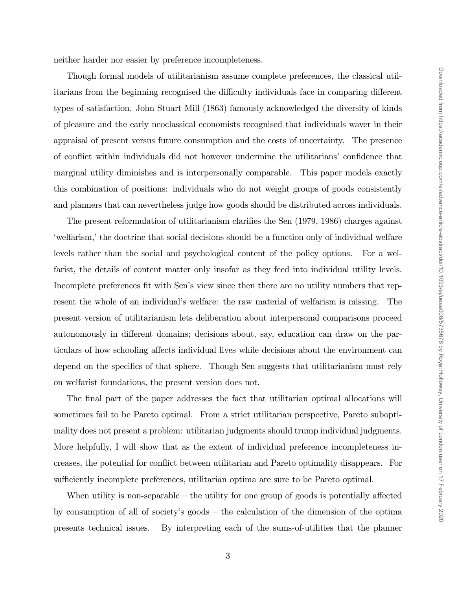neither harder nor easier by preference incompleteness.

Though formal models of utilitarianism assume complete preferences, the classical utilitarians from the beginning recognised the difficulty individuals face in comparing different types of satisfaction. John Stuart Mill (1863) famously acknowledged the diversity of kinds of pleasure and the early neoclassical economists recognised that individuals waver in their appraisal of present versus future consumption and the costs of uncertainty. The presence of conflict within individuals did not however undermine the utilitarians' confidence that marginal utility diminishes and is interpersonally comparable. This paper models exactly this combination of positions: individuals who do not weight groups of goods consistently and planners that can nevertheless judge how goods should be distributed across individuals.

The present reformulation of utilitarianism clarifies the Sen (1979, 1986) charges against welfarism, the doctrine that social decisions should be a function only of individual welfare levels rather than the social and psychological content of the policy options. For a welfarist, the details of content matter only insofar as they feed into individual utility levels. Incomplete preferences fit with Sen's view since then there are no utility numbers that represent the whole of an individual's welfare: the raw material of welfarism is missing. The present version of utilitarianism lets deliberation about interpersonal comparisons proceed autonomously in different domains; decisions about, say, education can draw on the particulars of how schooling affects individual lives while decisions about the environment can depend on the specifics of that sphere. Though Sen suggests that utilitarianism must rely on welfarist foundations, the present version does not.

The final part of the paper addresses the fact that utilitarian optimal allocations will sometimes fail to be Pareto optimal. From a strict utilitarian perspective, Pareto suboptimality does not present a problem: utilitarian judgments should trump individual judgments. More helpfully, I will show that as the extent of individual preference incompleteness increases, the potential for conáict between utilitarian and Pareto optimality disappears. For sufficiently incomplete preferences, utilitarian optima are sure to be Pareto optimal.

When utility is non-separable  $-$  the utility for one group of goods is potentially affected by consumption of all of society's goods  $-$  the calculation of the dimension of the optima presents technical issues. By interpreting each of the sums-of-utilities that the planner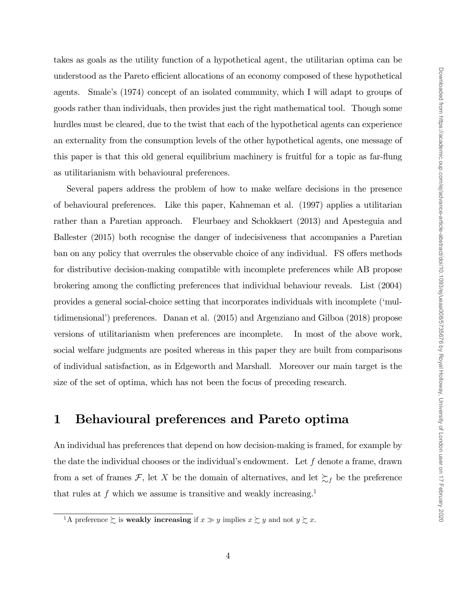takes as goals as the utility function of a hypothetical agent, the utilitarian optima can be understood as the Pareto efficient allocations of an economy composed of these hypothetical agents. Smale's (1974) concept of an isolated community, which I will adapt to groups of goods rather than individuals, then provides just the right mathematical tool. Though some hurdles must be cleared, due to the twist that each of the hypothetical agents can experience an externality from the consumption levels of the other hypothetical agents, one message of this paper is that this old general equilibrium machinery is fruitful for a topic as far-flung as utilitarianism with behavioural preferences.

Several papers address the problem of how to make welfare decisions in the presence of behavioural preferences. Like this paper, Kahneman et al. (1997) applies a utilitarian rather than a Paretian approach. Fleurbaey and Schokkaert (2013) and Apesteguia and Ballester (2015) both recognise the danger of indecisiveness that accompanies a Paretian ban on any policy that overrules the observable choice of any individual. FS offers methods for distributive decision-making compatible with incomplete preferences while AB propose brokering among the conflicting preferences that individual behaviour reveals. List (2004) provides a general social-choice setting that incorporates individuals with incomplete (ëmultidimensional') preferences. Danan et al. (2015) and Argenziano and Gilboa (2018) propose versions of utilitarianism when preferences are incomplete. In most of the above work, social welfare judgments are posited whereas in this paper they are built from comparisons of individual satisfaction, as in Edgeworth and Marshall. Moreover our main target is the size of the set of optima, which has not been the focus of preceding research.

# 1 Behavioural preferences and Pareto optima

An individual has preferences that depend on how decision-making is framed, for example by the date the individual chooses or the individual's endowment. Let  $f$  denote a frame, drawn from a set of frames  $\mathcal{F}$ , let X be the domain of alternatives, and let  $\sum_f$  be the preference that rules at f which we assume is transitive and weakly increasing.<sup>1</sup>

<sup>&</sup>lt;sup>1</sup>A preference  $\succsim$  is **weakly increasing** if  $x \gg y$  implies  $x \succsim y$  and not  $y \succsim x$ .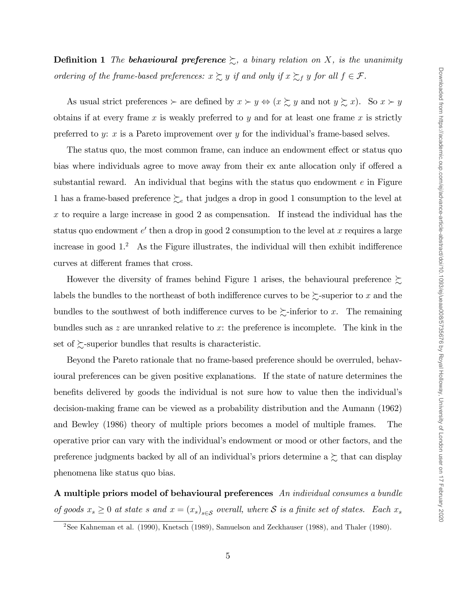**Definition 1** The **behavioural preference**  $\succsim$ , a binary relation on X, is the unanimity ordering of the frame-based preferences:  $x \succsim y$  if and only if  $x \succsim_f y$  for all  $f \in \mathcal{F}$ .

As usual strict preferences  $\succ$  are defined by  $x \succ y \Leftrightarrow (x \succsim y \text{ and not } y \succsim x)$ . So  $x \succ y$ obtains if at every frame  $x$  is weakly preferred to  $y$  and for at least one frame  $x$  is strictly preferred to y: x is a Pareto improvement over y for the individual's frame-based selves.

The status quo, the most common frame, can induce an endowment effect or status quo bias where individuals agree to move away from their ex ante allocation only if offered a substantial reward. An individual that begins with the status quo endowment  $e$  in Figure 1 has a frame-based preference  $\succcurlyeq_e$  that judges a drop in good 1 consumption to the level at x to require a large increase in good 2 as compensation. If instead the individual has the status quo endowment  $e'$  then a drop in good 2 consumption to the level at x requires a large increase in good  $1<sup>2</sup>$  As the Figure illustrates, the individual will then exhibit indifference curves at different frames that cross.

However the diversity of frames behind Figure 1 arises, the behavioural preference  $\succsim$ labels the bundles to the northeast of both indifference curves to be  $\succsim$ -superior to x and the bundles to the southwest of both indifference curves to be  $\succsim$ -inferior to x. The remaining bundles such as  $z$  are unranked relative to  $x$ : the preference is incomplete. The kink in the set of  $\gtrsim$ -superior bundles that results is characteristic.

Beyond the Pareto rationale that no frame-based preference should be overruled, behavioural preferences can be given positive explanations. If the state of nature determines the benefits delivered by goods the individual is not sure how to value then the individual's decision-making frame can be viewed as a probability distribution and the Aumann (1962) and Bewley (1986) theory of multiple priors becomes a model of multiple frames. The operative prior can vary with the individualís endowment or mood or other factors, and the preference judgments backed by all of an individual's priors determine a  $\succsim$  that can display phenomena like status quo bias.

A multiple priors model of behavioural preferences An individual consumes a bundle of goods  $x_s \geq 0$  at state s and  $x = (x_s)_{s \in S}$  overall, where S is a finite set of states. Each  $x_s$ 

<sup>&</sup>lt;sup>2</sup>See Kahneman et al. (1990), Knetsch (1989), Samuelson and Zeckhauser (1988), and Thaler (1980).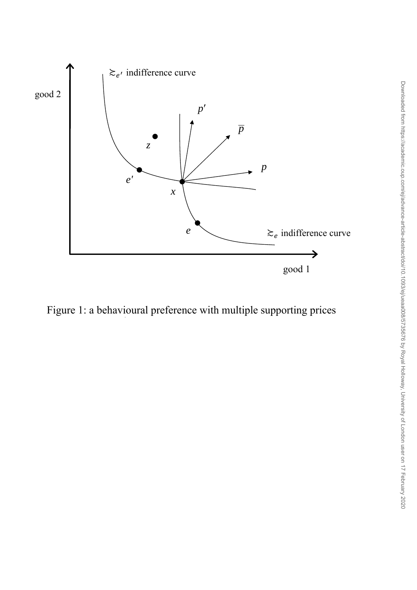

Figure 1: a behavioural preference with multiple supporting prices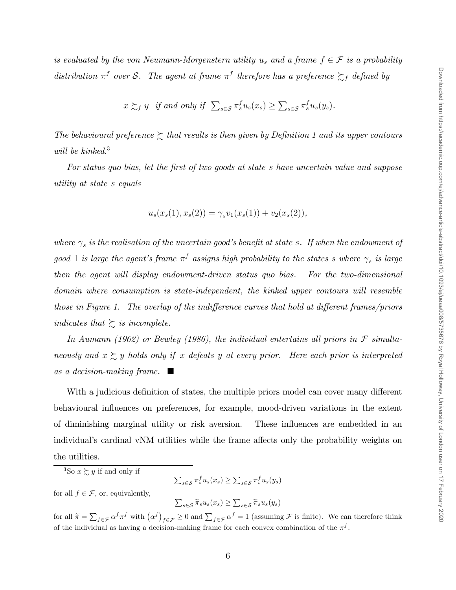is evaluated by the von Neumann-Morgenstern utility  $u_s$  and a frame  $f \in \mathcal{F}$  is a probability distribution  $\pi^f$  over S. The agent at frame  $\pi^f$  therefore has a preference  $\succsim_f$  defined by

$$
x \succsim_f y
$$
 if and only if  $\sum_{s \in S} \pi_s^f u_s(x_s) \ge \sum_{s \in S} \pi_s^f u_s(y_s)$ .

The behavioural preference  $\gtrsim$  that results is then given by Definition 1 and its upper contours will be kinked.<sup>3</sup>

For status quo bias, let the first of two goods at state s have uncertain value and suppose utility at state s equals

$$
u_s(x_s(1), x_s(2)) = \gamma_s v_1(x_s(1)) + v_2(x_s(2)),
$$

where  $\gamma_s$  is the realisation of the uncertain good's benefit at state s. If when the endowment of good 1 is large the agent's frame  $\pi^f$  assigns high probability to the states s where  $\gamma_s$  is large then the agent will display endowment-driven status quo bias. For the two-dimensional domain where consumption is state-independent, the kinked upper contours will resemble those in Figure 1. The overlap of the indifference curves that hold at different frames/priors indicates that  $\sum$  is incomplete.

In Aumann (1962) or Bewley (1986), the individual entertains all priors in  $\mathcal F$  simultaneously and  $x \gtrsim y$  holds only if x defeats y at every prior. Here each prior is interpreted as a decision-making frame.  $\blacksquare$ 

With a judicious definition of states, the multiple priors model can cover many different behavioural influences on preferences, for example, mood-driven variations in the extent of diminishing marginal utility or risk aversion. These influences are embedded in an individual's cardinal vNM utilities while the frame affects only the probability weights on the utilities.

<sup>3</sup>So  $x \succeq y$  if and only if

 $\sum_{s\in\mathcal{S}} \pi_s^f u_s(x_s) \geq \sum_{s\in\mathcal{S}} \pi_s^f u_s(y_s)$ 

for all  $f \in \mathcal{F}$ , or, equivalently,

 $\sum_{s\in\mathcal{S}} \widetilde{\pi}_s u_s(x_s) \geq \sum_{s\in\mathcal{S}} \widetilde{\pi}_s u_s(y_s)$ 

for all  $\widetilde{\pi} = \sum_{f \in \mathcal{F}} \alpha^f \pi^f$  with  $(\alpha^f)_{f \in \mathcal{F}} \ge 0$  and  $\sum_{f \in \mathcal{F}} \alpha^f = 1$  (assuming  $\mathcal{F}$  is finite). We can therefore think of the individual as having a decision-making frame for each convex combination of the  $\pi^f$ .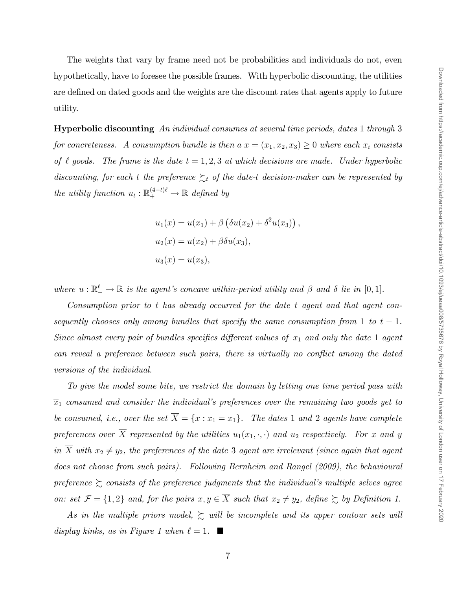The weights that vary by frame need not be probabilities and individuals do not, even hypothetically, have to foresee the possible frames. With hyperbolic discounting, the utilities are defined on dated goods and the weights are the discount rates that agents apply to future utility.

Hyperbolic discounting An individual consumes at several time periods, dates 1 through 3 for concreteness. A consumption bundle is then  $a x = (x_1, x_2, x_3) \ge 0$  where each  $x_i$  consists of  $\ell$  goods. The frame is the date  $t = 1, 2, 3$  at which decisions are made. Under hyperbolic discounting, for each t the preference  $\sum_{t}$  of the date-t decision-maker can be represented by the utility function  $u_t : \mathbb{R}^{(4-t)\ell}_+ \to \mathbb{R}$  defined by

$$
u_1(x) = u(x_1) + \beta \left( \delta u(x_2) + \delta^2 u(x_3) \right),
$$
  
\n
$$
u_2(x) = u(x_2) + \beta \delta u(x_3),
$$
  
\n
$$
u_3(x) = u(x_3),
$$

where  $u : \mathbb{R}^{\ell}$   $\to \mathbb{R}$  is the agent's concave within-period utility and  $\beta$  and  $\delta$  lie in [0, 1].

Consumption prior to t has already occurred for the date t agent and that agent consequently chooses only among bundles that specify the same consumption from 1 to  $t-1$ . Since almost every pair of bundles specifies different values of  $x_1$  and only the date 1 agent can reveal a preference between such pairs, there is virtually no conflict among the dated versions of the individual.

To give the model some bite, we restrict the domain by letting one time period pass with  $\overline{x}_1$  consumed and consider the individual's preferences over the remaining two goods yet to be consumed, i.e., over the set  $\overline{X} = \{x : x_1 = \overline{x}_1\}$ . The dates 1 and 2 agents have complete preferences over  $\overline{X}$  represented by the utilities  $u_1(\overline{x}_1,\cdot,\cdot)$  and  $u_2$  respectively. For x and y in  $\overline{X}$  with  $x_2 \neq y_2$ , the preferences of the date 3 agent are irrelevant (since again that agent does not choose from such pairs). Following Bernheim and Rangel (2009), the behavioural preference  $\gtrsim$  consists of the preference judgments that the individual's multiple selves agree on: set  $\mathcal{F} = \{1, 2\}$  and, for the pairs  $x, y \in \overline{X}$  such that  $x_2 \neq y_2$ , define  $\succsim$  by Definition 1.

As in the multiple priors model,  $\sum$  will be incomplete and its upper contour sets will display kinks, as in Figure 1 when  $\ell = 1$ .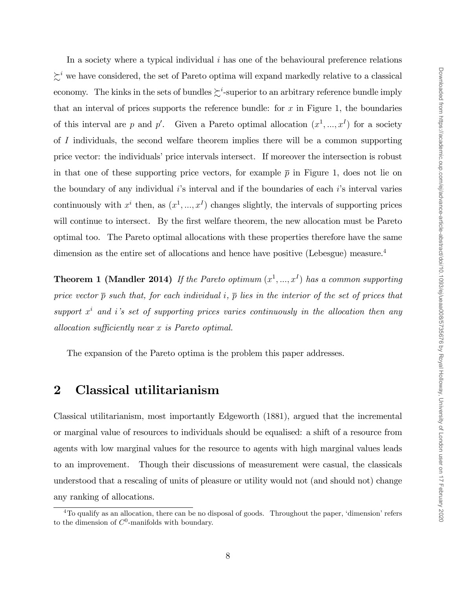In a society where a typical individual  $i$  has one of the behavioural preference relations  $\zeta^i$  we have considered, the set of Pareto optima will expand markedly relative to a classical economy. The kinks in the sets of bundles  $\succsim^i$ -superior to an arbitrary reference bundle imply that an interval of prices supports the reference bundle: for  $x$  in Figure 1, the boundaries of this interval are p and p'. Given a Pareto optimal allocation  $(x^1, ..., x^I)$  for a society of I individuals, the second welfare theorem implies there will be a common supporting price vector: the individuals' price intervals intersect. If moreover the intersection is robust in that one of these supporting price vectors, for example  $\bar{p}$  in Figure 1, does not lie on the boundary of any individual  $i$ 's interval and if the boundaries of each  $i$ 's interval varies continuously with  $x^i$  then, as  $(x^1, ..., x^I)$  changes slightly, the intervals of supporting prices will continue to intersect. By the first welfare theorem, the new allocation must be Pareto optimal too. The Pareto optimal allocations with these properties therefore have the same dimension as the entire set of allocations and hence have positive (Lebesgue) measure.<sup>4</sup>

**Theorem 1 (Mandler 2014)** If the Pareto optimum  $(x^1, ..., x^I)$  has a common supporting price vector  $\bar{p}$  such that, for each individual i,  $\bar{p}$  lies in the interior of the set of prices that support  $x^i$  and i's set of supporting prices varies continuously in the allocation then any allocation sufficiently near  $x$  is Pareto optimal.

The expansion of the Pareto optima is the problem this paper addresses.

### 2 Classical utilitarianism

Classical utilitarianism, most importantly Edgeworth (1881), argued that the incremental or marginal value of resources to individuals should be equalised: a shift of a resource from agents with low marginal values for the resource to agents with high marginal values leads to an improvement. Though their discussions of measurement were casual, the classicals understood that a rescaling of units of pleasure or utility would not (and should not) change any ranking of allocations.

 $4$ To qualify as an allocation, there can be no disposal of goods. Throughout the paper, 'dimension' refers to the dimension of  $C^0$ -manifolds with boundary.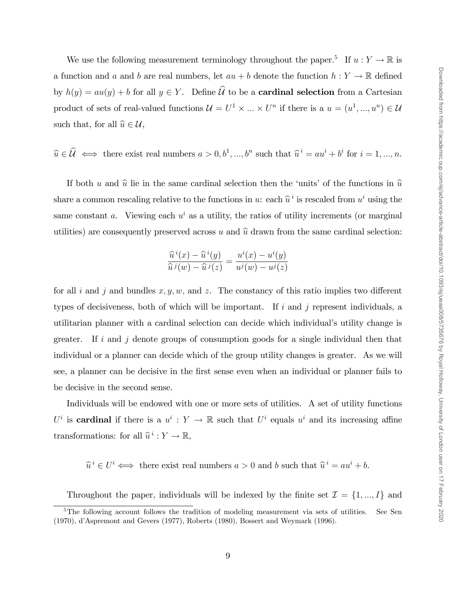We use the following measurement terminology throughout the paper.<sup>5</sup> If  $u: Y \to \mathbb{R}$  is a function and a and b are real numbers, let  $au + b$  denote the function  $h: Y \to \mathbb{R}$  defined by  $h(y) = au(y) + b$  for all  $y \in Y$ . Define  $\widehat{\mathcal{U}}$  to be a **cardinal selection** from a Cartesian product of sets of real-valued functions  $\mathcal{U} = U^1 \times ... \times U^n$  if there is a  $u = (u^1, ..., u^n) \in \mathcal{U}$ such that, for all  $\widehat{u} \in \mathcal{U}$ ,

$$
\widehat{u} \in \widehat{\mathcal{U}} \iff
$$
 there exist real numbers  $a > 0, b^1, ..., b^n$  such that  $\widehat{u}^i = au^i + b^i$  for  $i = 1, ..., n$ .

If both u and  $\hat{u}$  lie in the same cardinal selection then the 'units' of the functions in  $\hat{u}$ share a common rescaling relative to the functions in u: each  $\hat{u}^i$  is rescaled from  $u^i$  using the same constant a. Viewing each  $u^i$  as a utility, the ratios of utility increments (or marginal utilities) are consequently preserved across u and  $\hat{u}$  drawn from the same cardinal selection:

$$
\frac{\widehat{u}^i(x) - \widehat{u}^i(y)}{\widehat{u}^j(w) - \widehat{u}^j(z)} = \frac{u^i(x) - u^i(y)}{u^j(w) - u^j(z)}
$$

for all i and j and bundles  $x, y, w$ , and z. The constancy of this ratio implies two different types of decisiveness, both of which will be important. If  $i$  and  $j$  represent individuals, a utilitarian planner with a cardinal selection can decide which individual's utility change is greater. If i and j denote groups of consumption goods for a single individual then that individual or a planner can decide which of the group utility changes is greater. As we will see, a planner can be decisive in the first sense even when an individual or planner fails to be decisive in the second sense.

Individuals will be endowed with one or more sets of utilities. A set of utility functions  $U^i$  is **cardinal** if there is a  $u^i : Y \to \mathbb{R}$  such that  $U^i$  equals  $u^i$  and its increasing affine transformations: for all  $\hat{u}^i : Y \to \mathbb{R}$ ,

 $\widehat{u}^i \in U^i \Longleftrightarrow$  there exist real numbers  $a > 0$  and b such that  $\widehat{u}^i = au^i + b$ .

Throughout the paper, individuals will be indexed by the finite set  $\mathcal{I} = \{1, ..., I\}$  and

<sup>&</sup>lt;sup>5</sup>The following account follows the tradition of modeling measurement via sets of utilities. See Sen (1970), díAspremont and Gevers (1977), Roberts (1980), Bossert and Weymark (1996).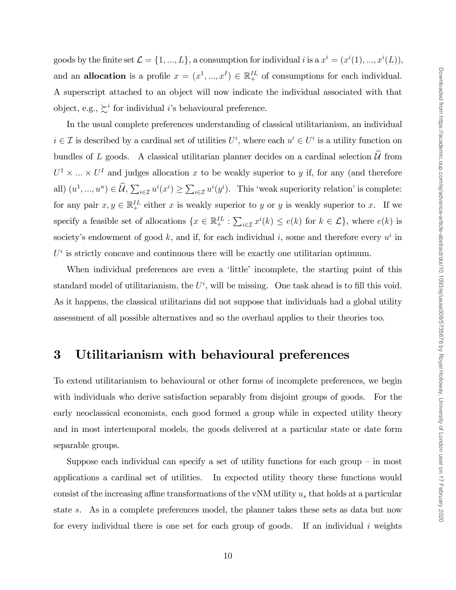goods by the finite set  $\mathcal{L} = \{1, ..., L\}$ , a consumption for individual i is a  $x^i = (x^i(1), ..., x^i(L))$ , and an **allocation** is a profile  $x = (x^1, ..., x^I) \in \mathbb{R}^{IL}_+$  of consumptions for each individual. A superscript attached to an object will now indicate the individual associated with that object, e.g.,  $\succsim^{i}$  for individual *i*'s behavioural preference.

In the usual complete preferences understanding of classical utilitarianism, an individual  $i \in \mathcal{I}$  is described by a cardinal set of utilities  $U^i$ , where each  $u^i \in U^i$  is a utility function on bundles of L goods. A classical utilitarian planner decides on a cardinal selection  $\hat{\mathcal{U}}$  from  $U^1 \times \ldots \times U^I$  and judges allocation x to be weakly superior to y if, for any (and therefore all)  $(u^1, ..., u^n) \in \mathcal{U}, \sum_{i \in \mathcal{I}} u^i(x^i) \ge \sum_{i \in \mathcal{I}} u^i(y^i)$ . This 'weak superiority relation' is complete: for any pair  $x, y \in \mathbb{R}^{IL}_+$  either x is weakly superior to y or y is weakly superior to x. If we specify a feasible set of allocations  $\{x \in \mathbb{R}^{IL}_+ : \sum_{i \in \mathcal{I}} x^i(k) \le e(k) \text{ for } k \in \mathcal{L}\}\,$ , where  $e(k)$  is society's endowment of good k, and if, for each individual i, some and therefore every  $u^i$  in  $U^i$  is strictly concave and continuous there will be exactly one utilitarian optimum.

When individual preferences are even a 'little' incomplete, the starting point of this standard model of utilitarianism, the  $U^i$ , will be missing. One task ahead is to fill this void. As it happens, the classical utilitarians did not suppose that individuals had a global utility assessment of all possible alternatives and so the overhaul applies to their theories too.

# 3 Utilitarianism with behavioural preferences

To extend utilitarianism to behavioural or other forms of incomplete preferences, we begin with individuals who derive satisfaction separably from disjoint groups of goods. For the early neoclassical economists, each good formed a group while in expected utility theory and in most intertemporal models, the goods delivered at a particular state or date form separable groups.

Suppose each individual can specify a set of utility functions for each group  $-$  in most applications a cardinal set of utilities. In expected utility theory these functions would consist of the increasing affine transformations of the vNM utility  $u_s$  that holds at a particular state s. As in a complete preferences model, the planner takes these sets as data but now for every individual there is one set for each group of goods. If an individual  $i$  weights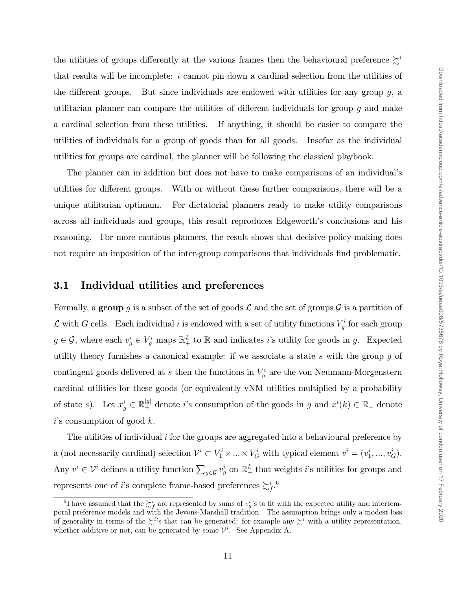the utilities of groups differently at the various frames then the behavioural preference  $\gtrsim^{i}$ that results will be incomplete:  $i$  cannot pin down a cardinal selection from the utilities of the different groups. But since individuals are endowed with utilities for any group  $q$ , a utilitarian planner can compare the utilities of different individuals for group  $q$  and make a cardinal selection from these utilities. If anything, it should be easier to compare the utilities of individuals for a group of goods than for all goods. Insofar as the individual utilities for groups are cardinal, the planner will be following the classical playbook.

The planner can in addition but does not have to make comparisons of an individualís utilities for different groups. With or without these further comparisons, there will be a unique utilitarian optimum. For dictatorial planners ready to make utility comparisons across all individuals and groups, this result reproduces Edgeworth's conclusions and his reasoning. For more cautious planners, the result shows that decisive policy-making does not require an imposition of the inter-group comparisons that individuals find problematic.

#### 3.1 Individual utilities and preferences

Formally, a group g is a subset of the set of goods  $\mathcal L$  and the set of groups  $\mathcal G$  is a partition of  $\mathcal L$  with G cells. Each individual i is endowed with a set of utility functions  $V_g^i$  for each group  $g \in \mathcal{G}$ , where each  $v_g^i \in V_g^i$  maps  $\mathbb{R}^L_+$  to  $\mathbb R$  and indicates i's utility for goods in g. Expected utility theory furnishes a canonical example: if we associate a state  $s$  with the group  $g$  of contingent goods delivered at s then the functions in  $V_g^i$  are the von Neumann-Morgenstern cardinal utilities for these goods (or equivalently vNM utilities multiplied by a probability of state s). Let  $x_g^i \in \mathbb{R}_+^{|g|}$  denote i's consumption of the goods in g and  $x^i(k) \in \mathbb{R}_+$  denote  $i$ 's consumption of good  $k$ .

The utilities of individual i for the groups are aggregated into a behavioural preference by a (not necessarily cardinal) selection  $\mathcal{V}^i \subset V^i_1 \times \dots \times V^i_G$  with typical element  $v^i = (v^i_1, ..., v^i_G)$ . Any  $v^i \in \mathcal{V}^i$  defines a utility function  $\sum_{g \in \mathcal{G}} v^i_g$  on  $\mathbb{R}^L_+$  that weights *i*'s utilities for groups and represents one of *i*'s complete frame-based preferences  $\sum_{f}^{i}$ .<sup>6</sup>

<sup>&</sup>lt;sup>6</sup>I have assumed that the  $\sum_{f}^{i}$  are represented by sums of  $v_g^i$ 's to fit with the expected utility and intertemporal preference models and with the Jevons-Marshall tradition. The assumption brings only a modest loss of generality in terms of the  $\zeta^{i}$ 's that can be generated: for example any  $\zeta^{i}$  with a utility representation, whether additive or not, can be generated by some  $\mathcal{V}^i$ . See Appendix A.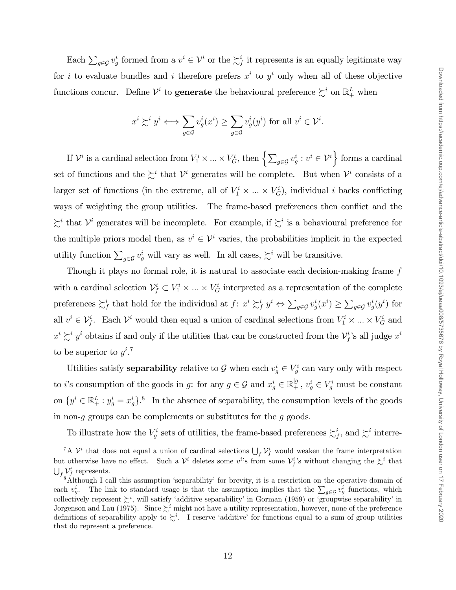Each  $\sum_{g\in\mathcal{G}}v_g^i$  formed from a  $v^i\in\mathcal{V}^i$  or the  $\sum_f^i$  it represents is an equally legitimate way for *i* to evaluate bundles and *i* therefore prefers  $x^i$  to  $y^i$  only when all of these objective functions concur. Define  $\mathcal{V}^i$  to **generate** the behavioural preference  $\succsim^i$  on  $\mathbb{R}^L_+$  when

$$
x^{i} \succsim^{i} y^{i} \Longleftrightarrow \sum_{g \in \mathcal{G}} v_{g}^{i}(x^{i}) \ge \sum_{g \in \mathcal{G}} v_{g}^{i}(y^{i}) \text{ for all } v^{i} \in \mathcal{V}^{i}.
$$

If  $\mathcal{V}^i$  is a cardinal selection from  $V_1^i \times ... \times V_G^i$ , then  $\left\{\sum_{g \in \mathcal{G}} v_g^i : v^i \in \mathcal{V}^i\right\}$  forms a cardinal set of functions and the  $\succsim^i$  that  $\mathcal{V}^i$  generates will be complete. But when  $\mathcal{V}^i$  consists of a larger set of functions (in the extreme, all of  $V_1^i \times \dots \times V_G^i$ ), individual i backs conflicting ways of weighting the group utilities. The frame-based preferences then conflict and the  $\succsim^i$  that  $\mathcal{V}^i$  generates will be incomplete. For example, if  $\succsim^i$  is a behavioural preference for the multiple priors model then, as  $v^i \in \mathcal{V}^i$  varies, the probabilities implicit in the expected utility function  $\sum_{g \in \mathcal{G}} v_g^i$  will vary as well. In all cases,  $\sum_i$  will be transitive.

Though it plays no formal role, it is natural to associate each decision-making frame f with a cardinal selection  $\mathcal{V}_f^i \subset V_1^i \times \ldots \times V_G^i$  interpreted as a representation of the complete preferences  $\sum_{j}^{i}$  that hold for the individual at  $f: x^{i} \sum_{j}^{i} y^{i} \Leftrightarrow \sum_{g \in \mathcal{G}} v_{g}^{i}(x^{i}) \ge \sum_{g \in \mathcal{G}} v_{g}^{i}(y^{i})$  for all  $v^i \in V_f^i$ . Each  $V^i$  would then equal a union of cardinal selections from  $V_1^i \times \dots \times V_G^i$  and  $x^i \succsim^i y^i$  obtains if and only if the utilities that can be constructed from the  $\mathcal{V}_f^i$ 's all judge  $x^i$ to be superior to  $y^{i}$ .<sup>7</sup>

Utilities satisfy **separability** relative to  $\mathcal{G}$  when each  $v_g^i \in V_g^i$  can vary only with respect to *i*'s consumption of the goods in *g*: for any  $g \in \mathcal{G}$  and  $x_g^i \in \mathbb{R}_+^{|g|}$ ,  $v_g^i \in V_g^i$  must be constant on  $\{y^i \in \mathbb{R}^L_+ : y^i_g = x^i_g\}$ .<sup>8</sup> In the absence of separability, the consumption levels of the goods in non- $g$  groups can be complements or substitutes for the  $g$  goods.

To illustrate how the  $V_g^i$  sets of utilities, the frame-based preferences  $\succsim_f^i$ , and  $\succsim^i$  interre-

<sup>&</sup>lt;sup>7</sup>A  $\mathcal{V}^i$  that does not equal a union of cardinal selections  $\bigcup_f \mathcal{V}^i_f$  would weaken the frame interpretation but otherwise have no effect. Such a  $\mathcal{V}^i$  deletes some  $v^i$ 's from some  $\mathcal{V}^i_f$ 's without changing the  $\mathcal{L}^i$  that  $\bigcup_f \mathcal{V}_f^i$  represents.

<sup>&</sup>lt;sup>8</sup>Although I call this assumption 'separability' for brevity, it is a restriction on the operative domain of each  $v_g^i$ . The link to standard usage is that the assumption implies that the  $\sum_{g\in\mathcal{G}}v_g^i$  functions, which collectively represent  $\succsim^i$ , will satisfy 'additive separability' in Gorman (1959) or 'groupwise separability' in Jorgenson and Lau (1975). Since  $\sum^{i}$  might not have a utility representation, however, none of the preference definitions of separability apply to  $\succeq^i$ . I reserve 'additive' for functions equal to a sum of group utilities that do represent a preference.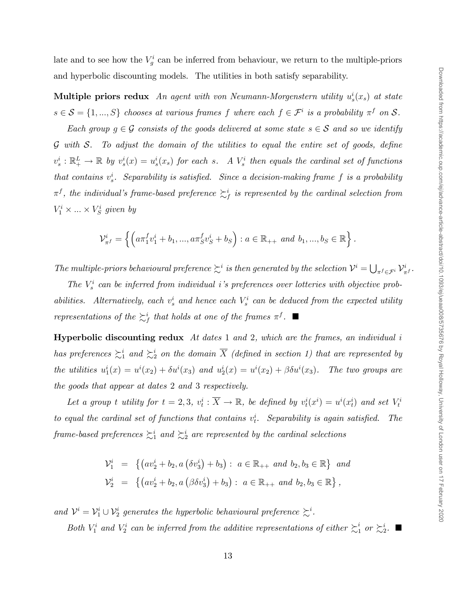late and to see how the  $V_g^i$  can be inferred from behaviour, we return to the multiple-priors and hyperbolic discounting models. The utilities in both satisfy separability.

Multiple priors redux An agent with von Neumann-Morgenstern utility  $u_s^i(x_s)$  at state  $s \in \mathcal{S} = \{1, ..., S\}$  chooses at various frames f where each  $f \in \mathcal{F}^i$  is a probability  $\pi^f$  on  $\mathcal{S}$ .

Each group  $g \in \mathcal{G}$  consists of the goods delivered at some state  $s \in \mathcal{S}$  and so we identify  $\mathcal G$  with  $\mathcal S$ . To adjust the domain of the utilities to equal the entire set of goods, define  $v_s^i : \mathbb{R}_+^L \to \mathbb{R}$  by  $v_s^i(x) = u_s^i(x_s)$  for each s. A  $V_s^i$  then equals the cardinal set of functions that contains  $v_s^i$ . Separability is satisfied. Since a decision-making frame f is a probability  $\pi^f$ , the individual's frame-based preference  $\succsim^i_f$  is represented by the cardinal selection from  $V_1^i \times \ldots \times V_S^i$  given by

$$
\mathcal{V}_{\pi^f}^i = \left\{ \left( a \pi_1^f v_1^i + b_1, ..., a \pi_S^f v_S^i + b_S \right) : a \in \mathbb{R}_{++} \text{ and } b_1, ..., b_S \in \mathbb{R} \right\}.
$$

The multiple-priors behavioural preference  $\sum_i$  is then generated by the selection  $\mathcal{V}^i = \bigcup_{\pi^f \in \mathcal{F}^i} \mathcal{V}^i_{\pi^f}$ .

The  $V_s^i$  can be inferred from individual i's preferences over lotteries with objective probabilities. Alternatively, each  $v_s^i$  and hence each  $V_s^i$  can be deduced from the expected utility representations of the  $\sum_{f}^{i}$  that holds at one of the frames  $\pi^{f}$ .

Hyperbolic discounting redux  $\Lambda t$  dates 1 and 2, which are the frames, an individual i has preferences  $\succsim_1^i$  and  $\succsim_2^i$  on the domain  $\overline{X}$  (defined in section 1) that are represented by the utilities  $u_1^i(x) = u^i(x_2) + \delta u^i(x_3)$  and  $u_2^i(x) = u^i(x_2) + \beta \delta u^i(x_3)$ . The two groups are the goods that appear at dates 2 and 3 respectively.

Let a group t utility for  $t = 2, 3, v_t^i : \overline{X} \to \mathbb{R}$ , be defined by  $v_t^i(x^i) = u^i(x_t^i)$  and set  $V_t^i$ to equal the cardinal set of functions that contains  $v_t^i$ . Separability is again satisfied. The frame-based preferences  $\succsim_1^i$  and  $\succsim_2^i$  are represented by the cardinal selections

$$
\mathcal{V}_1^i = \left\{ \left( av_2^i + b_2, a \left( \delta v_3^i \right) + b_3 \right) : a \in \mathbb{R}_{++} \text{ and } b_2, b_3 \in \mathbb{R} \right\} \text{ and}
$$
  

$$
\mathcal{V}_2^i = \left\{ \left( av_2^i + b_2, a \left( \beta \delta v_3^i \right) + b_3 \right) : a \in \mathbb{R}_{++} \text{ and } b_2, b_3 \in \mathbb{R} \right\},\
$$

and  $\mathcal{V}^i = \mathcal{V}^i_1 \cup \mathcal{V}^i_2$  generates the hyperbolic behavioural preference  $\succsim^i$ .

Both  $V_1^i$  and  $V_2^i$  can be inferred from the additive representations of either  $\succsim_1$  $i \text{ or } \succsim_2^i$ .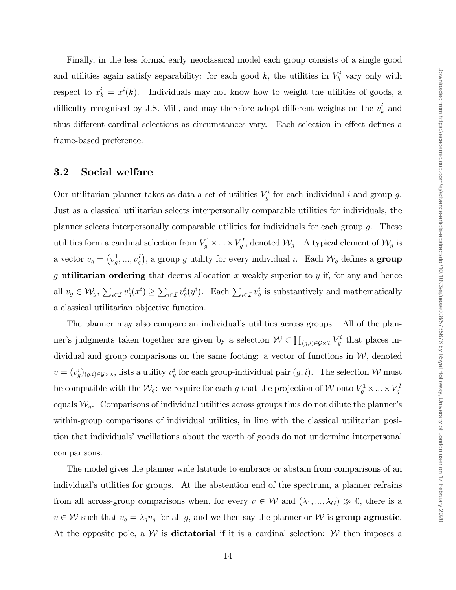Finally, in the less formal early neoclassical model each group consists of a single good and utilities again satisfy separability: for each good k, the utilities in  $V_k^i$  vary only with respect to  $x_k^i = x^i(k)$ . Individuals may not know how to weight the utilities of goods, a difficulty recognised by J.S. Mill, and may therefore adopt different weights on the  $v_k^i$  and thus different cardinal selections as circumstances vary. Each selection in effect defines a frame-based preference.

#### 3.2 Social welfare

Our utilitarian planner takes as data a set of utilities  $V_g^i$  for each individual i and group g. Just as a classical utilitarian selects interpersonally comparable utilities for individuals, the planner selects interpersonally comparable utilities for individuals for each group g. These utilities form a cardinal selection from  $V_g^1 \times ... \times V_g^I$ , denoted  $\mathcal{W}_g$ . A typical element of  $\mathcal{W}_g$  is a vector  $v_g = (v_g^1, ..., v_g^I)$ , a group g utility for every individual i. Each  $\mathcal{W}_g$  defines a **group** g utilitarian ordering that deems allocation x weakly superior to y if, for any and hence all  $v_g \in \mathcal{W}_g$ ,  $\sum_{i \in \mathcal{I}} v_g^i(x^i) \ge \sum_{i \in \mathcal{I}} v_g^i(y^i)$ . Each  $\sum_{i \in \mathcal{I}} v_g^i$  is substantively and mathematically a classical utilitarian objective function.

The planner may also compare an individual's utilities across groups. All of the planner's judgments taken together are given by a selection  $W \subset \prod_{(g,i)\in\mathcal{G}\times\mathcal{I}} V_g^i$  that places individual and group comparisons on the same footing: a vector of functions in  $W$ , denoted  $v = (v_g^i)_{(g,i)\in\mathcal{G}\times\mathcal{I}}$ , lists a utility  $v_g^i$  for each group-individual pair  $(g, i)$ . The selection W must be compatible with the  $\mathcal{W}_g$ : we require for each g that the projection of W onto  $V_g^1 \times ... \times V_g^1$ equals  $\mathcal{W}_q$ . Comparisons of individual utilities across groups thus do not dilute the planner's within-group comparisons of individual utilities, in line with the classical utilitarian position that individuals' vacillations about the worth of goods do not undermine interpersonal comparisons.

The model gives the planner wide latitude to embrace or abstain from comparisons of an individual's utilities for groups. At the abstention end of the spectrum, a planner refrains from all across-group comparisons when, for every  $\overline{v} \in W$  and  $(\lambda_1, ..., \lambda_G) \gg 0$ , there is a  $v \in \mathcal{W}$  such that  $v_g = \lambda_g \overline{v}_g$  for all g, and we then say the planner or  $\mathcal{W}$  is **group agnostic**. At the opposite pole, a  $W$  is **dictatorial** if it is a cardinal selection:  $W$  then imposes a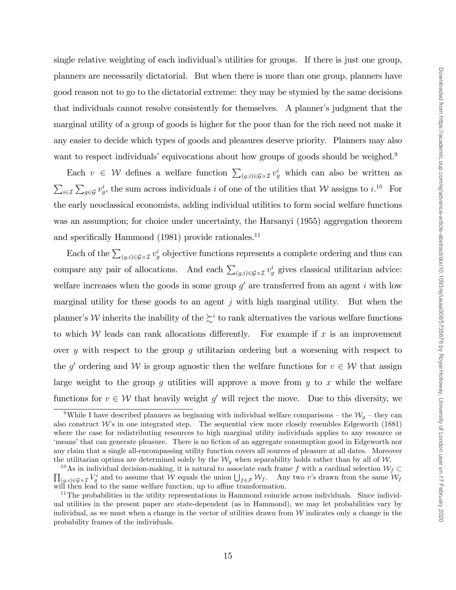single relative weighting of each individual's utilities for groups. If there is just one group, planners are necessarily dictatorial. But when there is more than one group, planners have good reason not to go to the dictatorial extreme: they may be stymied by the same decisions that individuals cannot resolve consistently for themselves. A plannerís judgment that the marginal utility of a group of goods is higher for the poor than for the rich need not make it any easier to decide which types of goods and pleasures deserve priority. Planners may also want to respect individuals' equivocations about how groups of goods should be weighed.<sup>9</sup>

Each  $v \in \mathcal{W}$  defines a welfare function  $\sum_{(g,i)\in\mathcal{G}\times\mathcal{I}} v_g^i$  which can also be written as  $\sum_{i\in\mathcal{I}}\sum_{g\in\mathcal{G}}v_g^i$ , the sum across individuals i of one of the utilities that W assigns to i.<sup>10</sup> For the early neoclassical economists, adding individual utilities to form social welfare functions was an assumption; for choice under uncertainty, the Harsanyi (1955) aggregation theorem and specifically Hammond  $(1981)$  provide rationales.<sup>11</sup>

Each of the  $\sum_{(g,i)\in\mathcal{G}\times\mathcal{I}}v_g^i$  objective functions represents a complete ordering and thus can compare any pair of allocations. And each  $\sum_{(g,i)\in\mathcal{G}\times\mathcal{I}}v_g^i$  gives classical utilitarian advice: welfare increases when the goods in some group  $g'$  are transferred from an agent i with low marginal utility for these goods to an agent  $j$  with high marginal utility. But when the planner's W inherits the inability of the  $\succsim^i$  to rank alternatives the various welfare functions to which W leads can rank allocations differently. For example if  $x$  is an improvement over y with respect to the group  $g$  utilitarian ordering but a worsening with respect to the g' ordering and W is group agnostic then the welfare functions for  $v \in W$  that assign large weight to the group q utilities will approve a move from  $y$  to x while the welfare functions for  $v \in \mathcal{W}$  that heavily weight g' will reject the move. Due to this diversity, we

<sup>&</sup>lt;sup>9</sup>While I have described planners as beginning with individual welfare comparisons – the  $W_g$  – they can also construct W's in one integrated step. The sequential view more closely resembles Edgeworth  $(1881)$ where the case for redistributing resources to high marginal utility individuals applies to any resource or ëmeansíthat can generate pleasure. There is no Öction of an aggregate consumption good in Edgeworth nor any claim that a single all-encompassing utility function covers all sources of pleasure at all dates. Moreover the utilitarian optima are determined solely by the  $\mathcal{W}_g$  when separability holds rather than by all of W.

 $\prod_{(g,i)\in\mathcal{G}\times\mathcal{I}}V_g^i$  and to assume that W equals the union  $\bigcup_{f\in\mathcal{F}}\mathcal{W}_f$ . Any two v's drawn from the same  $\mathcal{W}_f$ <sup>10</sup>As in individual decision-making, it is natural to associate each frame f with a cardinal selection  $\mathcal{W}_f \subset$ will then lead to the same welfare function, up to affine transformation.

 $11$ The probabilities in the utility representations in Hammond coincide across individuals. Since individual utilities in the present paper are state-dependent (as in Hammond), we may let probabilities vary by individual, as we must when a change in the vector of utilities drawn from  $W$  indicates only a change in the probability frames of the individuals.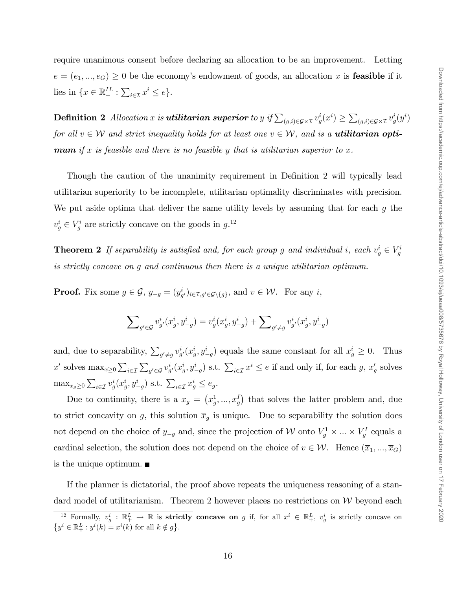require unanimous consent before declaring an allocation to be an improvement. Letting  $e = (e_1, ..., e_G) \geq 0$  be the economy's endowment of goods, an allocation x is **feasible** if it lies in  $\{x \in \mathbb{R}^{IL}_+ : \sum_{i \in \mathcal{I}} x^i \le e\}.$ 

 $\textbf{Definition 2} \ \ \textit{Allocation}\ x \ \textit{is} \ \textit{utilitarian superior} \ to \ y \ \textit{if} \sum_{(g,i) \in \mathcal{G} \times \mathcal{I}} v_g^i(x^i) \geq \sum_{(g,i) \in \mathcal{G} \times \mathcal{I}} v_g^i(y^i)$ for all  $v \in W$  and strict inequality holds for at least one  $v \in W$ , and is a **utilitarian optimum** if x is feasible and there is no feasible y that is utilitarian superior to x.

Though the caution of the unanimity requirement in Definition 2 will typically lead utilitarian superiority to be incomplete, utilitarian optimality discriminates with precision. We put aside optima that deliver the same utility levels by assuming that for each  $g$  the  $v_g^i \in V_g^i$  are strictly concave on the goods in  $g^{12}$ .

**Theorem 2** If separability is satisfied and, for each group g and individual i, each  $v_g^i \in V_g^i$ is strictly concave on g and continuous then there is a unique utilitarian optimum.

**Proof.** Fix some  $g \in \mathcal{G}$ ,  $y_{-g} = (y_{g'}^i)_{i \in \mathcal{I}, g' \in \mathcal{G} \setminus \{g\}}$ , and  $v \in \mathcal{W}$ . For any *i*,

$$
\sum\nolimits_{g' \in \mathcal{G}} v_{g'}^i(x_g^i,y_{-g}^i) = v_g^i(x_g^i,y_{-g}^i) + \sum\nolimits_{g' \neq g} v_{g'}^i(x_g^i,y_{-g}^i)
$$

and, due to separability,  $\sum_{g' \neq g} v_{g'}^i(x_g^i, y_{-g}^i)$  equals the same constant for all  $x_g^i \geq 0$ . Thus x' solves  $\max_{x\geq 0} \sum_{i\in\mathcal{I}} \sum_{g'\in\mathcal{G}} v_{g'}^i(x_g^i, y_{-g}^i)$  s.t.  $\sum_{i\in\mathcal{I}} x^i \leq e$  if and only if, for each g,  $x_g'$  solves  $\max_{x_g \geq 0} \sum_{i \in \mathcal{I}} v_g^i(x_g^i, y_{-g}^i)$  s.t.  $\sum_{i \in \mathcal{I}} x_g^i \leq e_g$ .

Due to continuity, there is a  $\bar{x}_g = (\bar{x}_g^1, ..., \bar{x}_g^I)$  that solves the latter problem and, due to strict concavity on g, this solution  $\overline{x}_g$  is unique. Due to separability the solution does not depend on the choice of  $y_{-g}$  and, since the projection of W onto  $V_g^1 \times ... \times V_g^I$  equals a cardinal selection, the solution does not depend on the choice of  $v \in \mathcal{W}$ . Hence  $(\overline{x}_1, ..., \overline{x}_G)$ is the unique optimum.

If the planner is dictatorial, the proof above repeats the uniqueness reasoning of a standard model of utilitarianism. Theorem 2 however places no restrictions on  $W$  beyond each

<sup>&</sup>lt;sup>12</sup> Formally,  $v_g^i : \mathbb{R}_+^L \to \mathbb{R}$  is strictly concave on g if, for all  $x^i \in \mathbb{R}_+^L$ ,  $v_g^i$  is strictly concave on  $\{y^i \in \mathbb{R}_+^L : y^i(k) = x^i(k) \text{ for all } k \notin g\}.$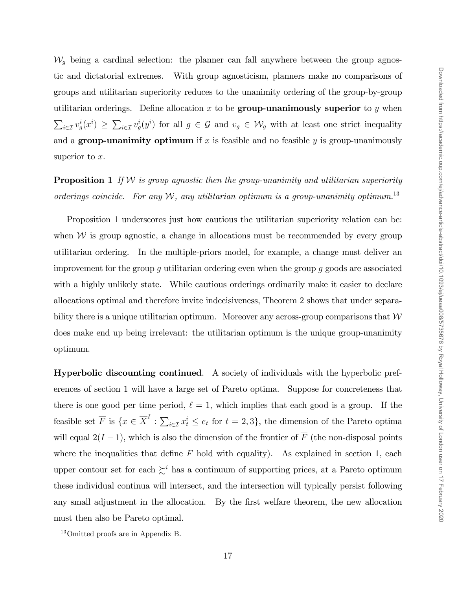$\mathcal{W}_g$  being a cardinal selection: the planner can fall anywhere between the group agnostic and dictatorial extremes. With group agnosticism, planners make no comparisons of groups and utilitarian superiority reduces to the unanimity ordering of the group-by-group utilitarian orderings. Define allocation x to be **group-unanimously superior** to y when  $\sum_{i\in\mathcal{I}}v_g^i(x^i)\geq\sum_{i\in\mathcal{I}}v_g^i(y^i)$  for all  $g\in\mathcal{G}$  and  $v_g\in\mathcal{W}_g$  with at least one strict inequality and a group-unanimity optimum if x is feasible and no feasible y is group-unanimously superior to  $x$ .

**Proposition 1** If W is group agnostic then the group-unanimity and utilitarian superiority orderings coincide. For any  $W$ , any utilitarian optimum is a group-unanimity optimum.<sup>13</sup>

Proposition 1 underscores just how cautious the utilitarian superiority relation can be: when  $W$  is group agnostic, a change in allocations must be recommended by every group utilitarian ordering. In the multiple-priors model, for example, a change must deliver an improvement for the group  $g$  utilitarian ordering even when the group  $g$  goods are associated with a highly unlikely state. While cautious orderings ordinarily make it easier to declare allocations optimal and therefore invite indecisiveness, Theorem 2 shows that under separability there is a unique utilitarian optimum. Moreover any across-group comparisons that  $W$ does make end up being irrelevant: the utilitarian optimum is the unique group-unanimity optimum.

Hyperbolic discounting continued. A society of individuals with the hyperbolic preferences of section 1 will have a large set of Pareto optima. Suppose for concreteness that there is one good per time period,  $\ell = 1$ , which implies that each good is a group. If the feasible set  $\overline{F}$  is  $\{x \in \overline{X}^I : \sum_{i \in \mathcal{I}} x_i^i \le e_t \text{ for } t = 2, 3\}$ , the dimension of the Pareto optima will equal  $2(I-1)$ , which is also the dimension of the frontier of  $\overline{F}$  (the non-disposal points where the inequalities that define  $\overline{F}$  hold with equality). As explained in section 1, each upper contour set for each  $\sum_{i=1}^{i}$  has a continuum of supporting prices, at a Pareto optimum these individual continua will intersect, and the intersection will typically persist following any small adjustment in the allocation. By the first welfare theorem, the new allocation must then also be Pareto optimal.

<sup>13</sup>Omitted proofs are in Appendix B.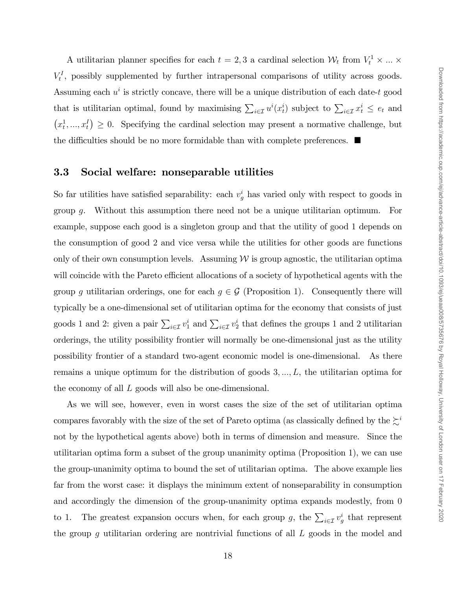A utilitarian planner specifies for each  $t = 2, 3$  a cardinal selection  $\mathcal{W}_t$  from  $V_t^1 \times ... \times$  $V_t^I$ , possibly supplemented by further intrapersonal comparisons of utility across goods. Assuming each  $u^i$  is strictly concave, there will be a unique distribution of each date-t good that is utilitarian optimal, found by maximising  $\sum_{i\in\mathcal{I}} u^i(x_t^i)$  subject to  $\sum_{i\in\mathcal{I}} x_t^i \leq e_t$  and  $(x_t^1, ..., x_t^I) \geq 0$ . Specifying the cardinal selection may present a normative challenge, but the difficulties should be no more formidable than with complete preferences.  $\blacksquare$ 

#### 3.3 Social welfare: nonseparable utilities

So far utilities have satisfied separability: each  $v_g^i$  has varied only with respect to goods in group g. Without this assumption there need not be a unique utilitarian optimum. For example, suppose each good is a singleton group and that the utility of good 1 depends on the consumption of good 2 and vice versa while the utilities for other goods are functions only of their own consumption levels. Assuming  $W$  is group agnostic, the utilitarian optima will coincide with the Pareto efficient allocations of a society of hypothetical agents with the group g utilitarian orderings, one for each  $g \in \mathcal{G}$  (Proposition 1). Consequently there will typically be a one-dimensional set of utilitarian optima for the economy that consists of just goods 1 and 2: given a pair  $\sum_{i \in \mathcal{I}} v_1^i$  and  $\sum_{i \in \mathcal{I}} v_2^i$  that defines the groups 1 and 2 utilitarian orderings, the utility possibility frontier will normally be one-dimensional just as the utility possibility frontier of a standard two-agent economic model is one-dimensional. As there remains a unique optimum for the distribution of goods  $3, \ldots, L$ , the utilitarian optima for the economy of all L goods will also be one-dimensional.

As we will see, however, even in worst cases the size of the set of utilitarian optima compares favorably with the size of the set of Pareto optima (as classically defined by the  $\gtrsim^{i}$ not by the hypothetical agents above) both in terms of dimension and measure. Since the utilitarian optima form a subset of the group unanimity optima (Proposition 1), we can use the group-unanimity optima to bound the set of utilitarian optima. The above example lies far from the worst case: it displays the minimum extent of nonseparability in consumption and accordingly the dimension of the group-unanimity optima expands modestly, from 0 to 1. The greatest expansion occurs when, for each group g, the  $\sum_{i\in\mathcal{I}}v_g^i$  that represent the group g utilitarian ordering are nontrivial functions of all L goods in the model and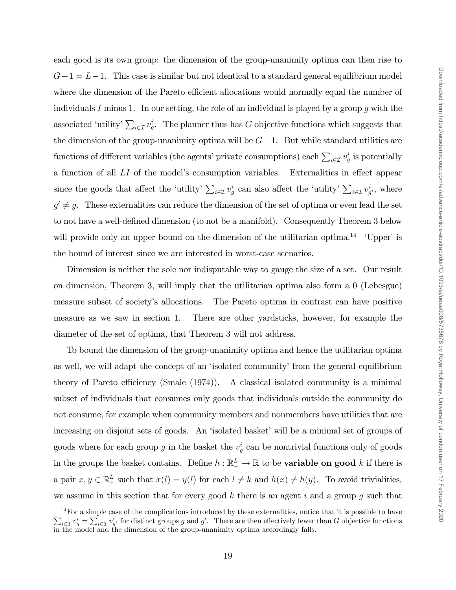each good is its own group: the dimension of the group-unanimity optima can then rise to  $G-1 = L-1$ . This case is similar but not identical to a standard general equilibrium model where the dimension of the Pareto efficient allocations would normally equal the number of individuals I minus 1. In our setting, the role of an individual is played by a group g with the associated 'utility'  $\sum_{i \in \mathcal{I}} v_g^i$ . The planner thus has G objective functions which suggests that the dimension of the group-unanimity optima will be  $G-1$ . But while standard utilities are functions of different variables (the agents' private consumptions) each  $\sum_{i\in\mathcal{I}}v^i_g$  is potentially a function of all  $LI$  of the model's consumption variables. Externalities in effect appear since the goods that affect the 'utility'  $\sum_{i\in\mathcal{I}}v_g^i$  can also affect the 'utility'  $\sum_{i\in\mathcal{I}}v_{g'}^i$ , where  $g' \neq g$ . These externalities can reduce the dimension of the set of optima or even lead the set to not have a well-defined dimension (to not be a manifold). Consequently Theorem 3 below will provide only an upper bound on the dimension of the utilitarian optima.<sup>14</sup>  $\,$  'Upper' is the bound of interest since we are interested in worst-case scenarios. Dimension is neither the sole nor indisputable way to gauge the size of a set. Our result on dimension, Theorem 3, will imply that the utilitarian optima also form a 0 (Lebesgue) measure subset of societyís allocations. The Pareto optima in contrast can have positive measure as we saw in section 1. There are other yardsticks, however, for example the diameter of the set of optima, that Theorem 3 will not address.

To bound the dimension of the group-unanimity optima and hence the utilitarian optima as well, we will adapt the concept of an 'isolated community' from the general equilibrium theory of Pareto efficiency (Smale  $(1974)$ ). A classical isolated community is a minimal subset of individuals that consumes only goods that individuals outside the community do not consume, for example when community members and nonmembers have utilities that are increasing on disjoint sets of goods. An 'isolated basket' will be a minimal set of groups of goods where for each group g in the basket the  $v_g^i$  can be nontrivial functions only of goods in the groups the basket contains. Define  $h : \mathbb{R}^L_+ \to \mathbb{R}$  to be **variable on good** k if there is a pair  $x, y \in \mathbb{R}^L_+$  such that  $x(l) = y(l)$  for each  $l \neq k$  and  $h(x) \neq h(y)$ . To avoid trivialities, we assume in this section that for every good  $k$  there is an agent  $i$  and a group  $g$  such that

<sup>14</sup>  $\sum$ For a simple case of the complications introduced by these externalities, notice that it is possible to have  $i\in\mathcal{I}$   $v_g^i = \sum_{i\in\mathcal{I}} v_{g'}^i$  for distinct groups g and g'. There are then effectively fewer than G objective functions in the model and the dimension of the group-unanimity optima accordingly falls.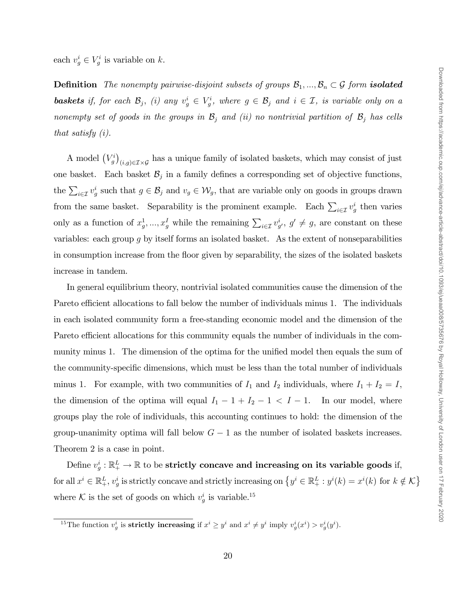each  $v_g^i \in V_g^i$  is variable on k.

**Definition** The nonempty pairwise-disjoint subsets of groups  $\mathcal{B}_1, ..., \mathcal{B}_n \subset \mathcal{G}$  form **isolated baskets** if, for each  $\mathcal{B}_j$ , (i) any  $v_g^i \in V_g^i$ , where  $g \in \mathcal{B}_j$  and  $i \in \mathcal{I}$ , is variable only on a nonempty set of goods in the groups in  $\mathcal{B}_j$  and (ii) no nontrivial partition of  $\mathcal{B}_j$  has cells that satisfy (i).

A model  $(V_g^i)$  $(i,g)\in\mathcal{I}\times\mathcal{G}$  has a unique family of isolated baskets, which may consist of just one basket. Each basket  $\mathcal{B}_j$  in a family defines a corresponding set of objective functions, the  $\sum_{i\in\mathcal{I}}v_g^i$  such that  $g\in\mathcal{B}_j$  and  $v_g\in\mathcal{W}_g$ , that are variable only on goods in groups drawn from the same basket. Separability is the prominent example. Each  $\sum_{i \in \mathcal{I}} v_g^i$  then varies only as a function of  $x_g^1, ..., x_g^I$  while the remaining  $\sum_{i \in \mathcal{I}} v_{g'}^i$ ,  $g' \neq g$ , are constant on these variables: each group  $g$  by itself forms an isolated basket. As the extent of nonseparabilities in consumption increase from the áoor given by separability, the sizes of the isolated baskets increase in tandem.

In general equilibrium theory, nontrivial isolated communities cause the dimension of the Pareto efficient allocations to fall below the number of individuals minus 1. The individuals in each isolated community form a free-standing economic model and the dimension of the Pareto efficient allocations for this community equals the number of individuals in the community minus 1. The dimension of the optima for the unified model then equals the sum of the community-specific dimensions, which must be less than the total number of individuals minus 1. For example, with two communities of  $I_1$  and  $I_2$  individuals, where  $I_1 + I_2 = I$ , the dimension of the optima will equal  $I_1 - 1 + I_2 - 1 < I - 1$ . In our model, where groups play the role of individuals, this accounting continues to hold: the dimension of the group-unanimity optima will fall below  $G - 1$  as the number of isolated baskets increases. Theorem 2 is a case in point.

Define  $v_g^i : \mathbb{R}_+^L \to \mathbb{R}$  to be strictly concave and increasing on its variable goods if, for all  $x^i \in \mathbb{R}^L_+$ ,  $v^i_g$  is strictly concave and strictly increasing on  $\left\{y^i \in \mathbb{R}^L_+ : y^i(k) = x^i(k)$  for  $k \notin \mathcal{K}\right\}$ where K is the set of goods on which  $v_g^i$  is variable.<sup>15</sup>

<sup>&</sup>lt;sup>15</sup>The function  $v_g^i$  is **strictly increasing** if  $x^i \geq y^i$  and  $x^i \neq y^i$  imply  $v_g^i(x^i) > v_g^i(y^i)$ .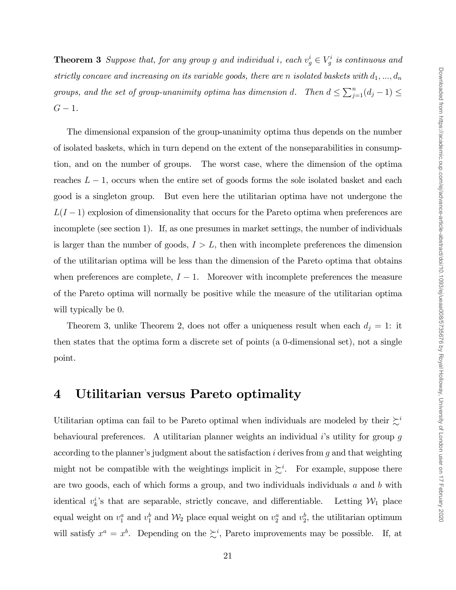**Theorem 3** Suppose that, for any group g and individual i, each  $v_g^i \in V_g^i$  is continuous and strictly concave and increasing on its variable goods, there are n isolated baskets with  $d_1, ..., d_n$ groups, and the set of group-unanimity optima has dimension d. Then  $d \leq \sum_{j=1}^{n} (d_j - 1) \leq$  $G-1$ .

The dimensional expansion of the group-unanimity optima thus depends on the number of isolated baskets, which in turn depend on the extent of the nonseparabilities in consumption, and on the number of groups. The worst case, where the dimension of the optima reaches  $L - 1$ , occurs when the entire set of goods forms the sole isolated basket and each good is a singleton group. But even here the utilitarian optima have not undergone the  $L(I-1)$  explosion of dimensionality that occurs for the Pareto optima when preferences are incomplete (see section 1). If, as one presumes in market settings, the number of individuals is larger than the number of goods,  $I > L$ , then with incomplete preferences the dimension of the utilitarian optima will be less than the dimension of the Pareto optima that obtains when preferences are complete,  $I - 1$ . Moreover with incomplete preferences the measure of the Pareto optima will normally be positive while the measure of the utilitarian optima will typically be 0.

Theorem 3, unlike Theorem 2, does not offer a uniqueness result when each  $d_j = 1$ : it then states that the optima form a discrete set of points (a 0-dimensional set), not a single point.

#### 4 Utilitarian versus Pareto optimality

Utilitarian optima can fail to be Pareto optimal when individuals are modeled by their  $\zeta^i$ behavioural preferences. A utilitarian planner weights an individual  $i$ 's utility for group g according to the planner's judgment about the satisfaction  $i$  derives from  $g$  and that weighting might not be compatible with the weightings implicit in  $\zeta^i$ . For example, suppose there are two goods, each of which forms a group, and two individuals individuals  $a$  and  $b$  with identical  $v_k^i$ 's that are separable, strictly concave, and differentiable. Letting  $\mathcal{W}_1$  place equal weight on  $v_1^a$  and  $v_1^b$  and  $\mathcal{W}_2$  place equal weight on  $v_2^a$  and  $v_2^b$ , the utilitarian optimum will satisfy  $x^a = x^b$ . Depending on the  $\sum^i$ , Pareto improvements may be possible. If, at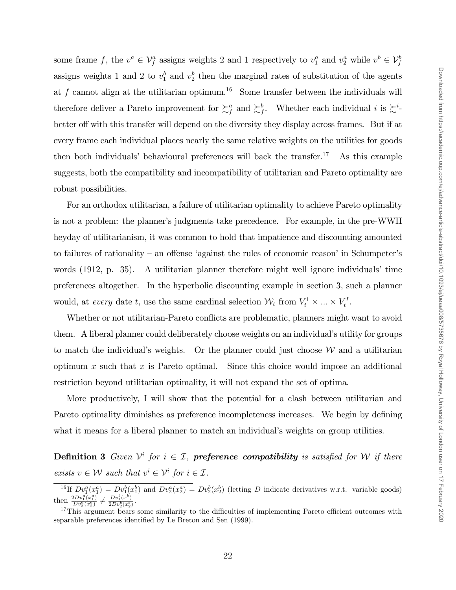some frame f, the  $v^a \in V_f^a$  assigns weights 2 and 1 respectively to  $v_1^a$  and  $v_2^a$  while  $v^b \in V_f^b$ assigns weights 1 and 2 to  $v_1^b$  and  $v_2^b$  then the marginal rates of substitution of the agents at f cannot align at the utilitarian optimum.<sup>16</sup> Some transfer between the individuals will therefore deliver a Pareto improvement for  $\sum_f^a$  and  $\sum_f^b$ . Whether each individual i is  $\sum_f^i$ . better off with this transfer will depend on the diversity they display across frames. But if at every frame each individual places nearly the same relative weights on the utilities for goods then both individuals' behavioural preferences will back the transfer.<sup>17</sup> As this example suggests, both the compatibility and incompatibility of utilitarian and Pareto optimality are robust possibilities.

For an orthodox utilitarian, a failure of utilitarian optimality to achieve Pareto optimality is not a problem: the planner's judgments take precedence. For example, in the pre-WWII heyday of utilitarianism, it was common to hold that impatience and discounting amounted to failures of rationality  $-$  an offense 'against the rules of economic reason' in Schumpeter's words  $(1912, p. 35)$ . A utilitarian planner therefore might well ignore individuals' time preferences altogether. In the hyperbolic discounting example in section 3, such a planner would, at *every* date t, use the same cardinal selection  $\mathcal{W}_t$  from  $V_t^1 \times \ldots \times V_t^1$ .

Whether or not utilitarian-Pareto conflicts are problematic, planners might want to avoid them. A liberal planner could deliberately choose weights on an individual's utility for groups to match the individual's weights. Or the planner could just choose  $W$  and a utilitarian optimum  $x$  such that  $x$  is Pareto optimal. Since this choice would impose an additional restriction beyond utilitarian optimality, it will not expand the set of optima.

More productively, I will show that the potential for a clash between utilitarian and Pareto optimality diminishes as preference incompleteness increases. We begin by defining what it means for a liberal planner to match an individual's weights on group utilities.

**Definition 3** Given  $\mathcal{V}^i$  for  $i \in \mathcal{I}$ , **preference compatibility** is satisfied for W if there exists  $v \in \mathcal{W}$  such that  $v^i \in \mathcal{V}^i$  for  $i \in \mathcal{I}$ .

<sup>&</sup>lt;sup>16</sup>If  $Dv_1^a(x_1^a) = Dv_1^b(x_1^b)$  and  $Dv_2^a(x_2^a) = Dv_2^b(x_2^b)$  (letting D indicate derivatives w.r.t. variable goods) then  $\frac{2Dv_1^a(x_1^a)}{Dv_2^a(x_2^a)} \neq \frac{Dv_1^b(x_1^b)}{2Dv_2^b(x_2^b)}$  $\frac{Dv_1(x_1)}{2Dv_2^b(x_2^b)}$ .

 $17$ This argument bears some similarity to the difficulties of implementing Pareto efficient outcomes with separable preferences identified by Le Breton and Sen (1999).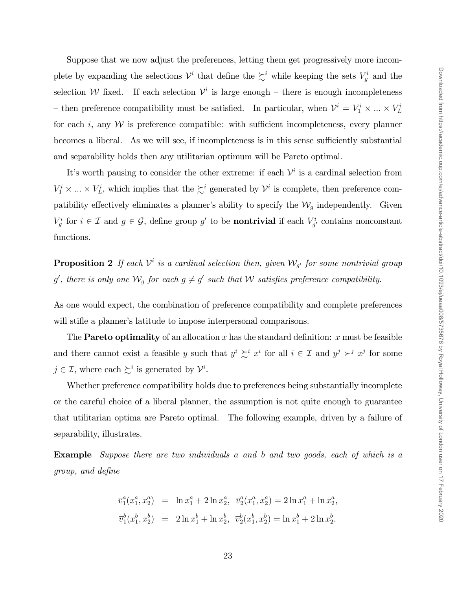Suppose that we now adjust the preferences, letting them get progressively more incomplete by expanding the selections  $\mathcal{V}^i$  that define the  $\succeq^i$  while keeping the sets  $V_g^i$  and the selection W fixed. If each selection  $\mathcal{V}^i$  is large enough – there is enough incompleteness - then preference compatibility must be satisfied. In particular, when  $\mathcal{V}^i = V_1^i \times \dots \times V_L^i$ for each i, any  $W$  is preference compatible: with sufficient incompleteness, every planner becomes a liberal. As we will see, if incompleteness is in this sense sufficiently substantial and separability holds then any utilitarian optimum will be Pareto optimal.

It's worth pausing to consider the other extreme: if each  $\mathcal{V}^i$  is a cardinal selection from  $V_1^i \times \ldots \times V_L^i$ , which implies that the  $\succsim^i$  generated by  $\mathcal{V}^i$  is complete, then preference compatibility effectively eliminates a planner's ability to specify the  $\mathcal{W}_q$  independently. Given  $V_g^i$  for  $i \in \mathcal{I}$  and  $g \in \mathcal{G}$ , define group  $g'$  to be **nontrivial** if each  $V_{g'}^i$  contains nonconstant functions.

**Proposition 2** If each  $\mathcal{V}^i$  is a cardinal selection then, given  $\mathcal{W}_{g'}$  for some nontrivial group g', there is only one  $\mathcal{W}_g$  for each  $g \neq g'$  such that  $\mathcal W$  satisfies preference compatibility.

As one would expect, the combination of preference compatibility and complete preferences will stifle a planner's latitude to impose interpersonal comparisons.

The **Pareto optimality** of an allocation x has the standard definition: x must be feasible and there cannot exist a feasible y such that  $y^i \succsim^i x^i$  for all  $i \in \mathcal{I}$  and  $y^j \succ^j x^j$  for some  $j \in \mathcal{I}$ , where each  $\succsim^{i}$  is generated by  $\mathcal{V}^{i}$ .

Whether preference compatibility holds due to preferences being substantially incomplete or the careful choice of a liberal planner, the assumption is not quite enough to guarantee that utilitarian optima are Pareto optimal. The following example, driven by a failure of separability, illustrates.

Example Suppose there are two individuals a and b and two goods, each of which is a group, and deÖne

$$
\overline{v}_1^a(x_1^a, x_2^a) = \ln x_1^a + 2 \ln x_2^a, \ \overline{v}_2^a(x_1^a, x_2^a) = 2 \ln x_1^a + \ln x_2^a,
$$
  

$$
\overline{v}_1^b(x_1^b, x_2^b) = 2 \ln x_1^b + \ln x_2^b, \ \overline{v}_2^b(x_1^b, x_2^b) = \ln x_1^b + 2 \ln x_2^b.
$$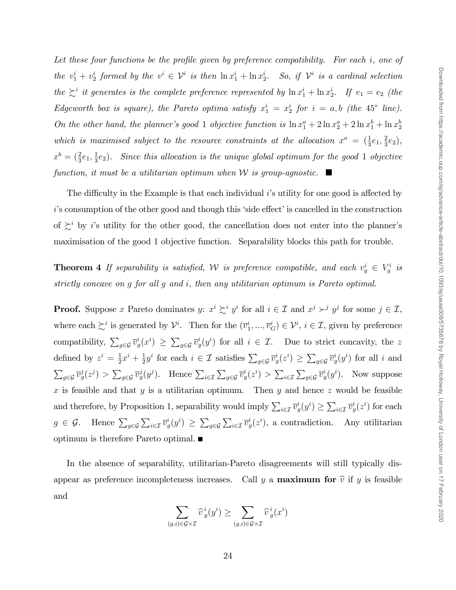Let these four functions be the profile given by preference compatibility. For each  $i$ , one of the  $v_1^i + v_2^i$  formed by the  $v^i \in \mathcal{V}^i$  is then  $\ln x_1^i + \ln x_2^i$ . So, if  $\mathcal{V}^i$  is a cardinal selection the  $\sum_i$  it generates is the complete preference represented by  $\ln x_1^i + \ln x_2^i$ . If  $e_1 = e_2$  (the Edgeworth box is square), the Pareto optima satisfy  $x_1^i = x_2^i$  for  $i = a, b$  (the 45° line). On the other hand, the planner's good 1 objective function is  $\ln x_1^a + 2\ln x_2^a + 2\ln x_1^b + \ln x_2^b$ which is maximised subject to the resource constraints at the allocation  $x^a = (\frac{1}{3}e_1, \frac{2}{3})$  $(\frac{2}{3}e_2),$  $x^b = (\frac{2}{3}e_1, \frac{1}{3})$  $\frac{1}{3}e_2$ ). Since this allocation is the unique global optimum for the good 1 objective function, it must be a utilitarian optimum when W is group-agnostic.  $\blacksquare$ 

The difficulty in the Example is that each individual  $i$ 's utility for one good is affected by  $i$ 's consumption of the other good and though this 'side effect' is cancelled in the construction of  $\sum_{i=1}^{\infty}$  by i's utility for the other good, the cancellation does not enter into the planner's maximisation of the good 1 objective function. Separability blocks this path for trouble.

**Theorem 4** If separability is satisfied, W is preference compatible, and each  $v_g^i \in V_g^i$  is strictly concave on g for all g and i, then any utilitarian optimum is Pareto optimal.

**Proof.** Suppose x Pareto dominates y:  $x^i \succsim^i y^i$  for all  $i \in \mathcal{I}$  and  $x^j \succsim^j y^j$  for some  $j \in \mathcal{I}$ , where each  $\succsim^i$  is generated by  $\mathcal{V}^i$ . Then for the  $(\overline{v}_1^i, ..., \overline{v}_G^i) \in \mathcal{V}^i$ ,  $i \in \mathcal{I}$ , given by preference compatibility,  $\sum_{g\in\mathcal{G}}\overline{v}_g^i(x^i) \geq \sum_{g\in\mathcal{G}}\overline{v}_g^i(y^i)$  for all  $i \in \mathcal{I}$ . Due to strict concavity, the z defined by  $z^i = \frac{1}{2}$  $rac{1}{2}x^i + \frac{1}{2}$  $\frac{1}{2}y^i$  for each  $i \in \mathcal{I}$  satisfies  $\sum_{g \in \mathcal{G}} \overline{v}_g^i(z^i) \ge \sum_{g \in \mathcal{G}} \overline{v}_g^i(y^i)$  for all i and  $\sum_{g\in\mathcal{G}}\overline{v}_g^j(z^j) > \sum_{g\in\mathcal{G}}\overline{v}_g^j(y^j)$ . Hence  $\sum_{i\in\mathcal{I}}\sum_{g\in\mathcal{G}}\overline{v}_g^i(z^i) > \sum_{i\in\mathcal{I}}\sum_{g\in\mathcal{G}}\overline{v}_g^i(y^i)$ . Now suppose x is feasible and that y is a utilitarian optimum. Then y and hence z would be feasible and therefore, by Proposition 1, separability would imply  $\sum_{i\in\mathcal{I}} \overline{v}_g^i(y^i) \ge \sum_{i\in\mathcal{I}} \overline{v}_g^i(z^i)$  for each  $g \in \mathcal{G}$ . Hence  $\sum_{g \in \mathcal{G}} \sum_{i \in \mathcal{I}} \overline{v}_g^i(y^i) \ge \sum_{g \in \mathcal{G}} \sum_{i \in \mathcal{I}} \overline{v}_g^i(z^i)$ , a contradiction. Any utilitarian optimum is therefore Pareto optimal.

In the absence of separability, utilitarian-Pareto disagreements will still typically disappear as preference incompleteness increases. Call y a **maximum for**  $\hat{v}$  if y is feasible and

$$
\sum_{(g,i)\in\mathcal{G}\times\mathcal{I}} \widehat{v}^{\,i}_{\,g}(y^i) \geq \sum_{(g,i)\in\mathcal{G}\times\mathcal{I}} \widehat{v}^{\,i}_{\,g}(x^i)
$$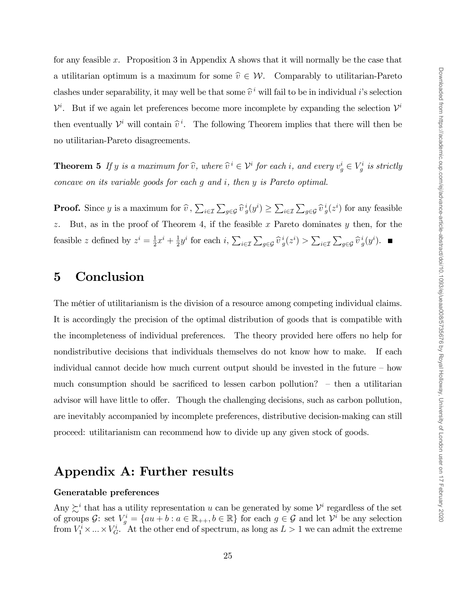for any feasible x. Proposition 3 in Appendix A shows that it will normally be the case that a utilitarian optimum is a maximum for some  $\hat{v} \in \mathcal{W}$ . Comparably to utilitarian-Pareto clashes under separability, it may well be that some  $\hat{v}^i$  will fail to be in individual *i*'s selection  $\mathcal{V}^i$ . But if we again let preferences become more incomplete by expanding the selection  $\mathcal{V}^i$ then eventually  $\mathcal{V}^i$  will contain  $\widehat{v}^i$ . The following Theorem implies that there will then be no utilitarian-Pareto disagreements.

**Theorem 5** If y is a maximum for  $\hat{v}$ , where  $\hat{v}^i \in \mathcal{V}^i$  for each i, and every  $v^i_g \in V^i_g$  is strictly concave on its variable goods for each g and i, then y is Pareto optimal.

**Proof.** Since y is a maximum for  $\widehat{v}$ ,  $\sum_{i \in \mathcal{I}} \sum_{g \in \mathcal{G}} \widehat{v}_g^i(y^i) \ge \sum_{i \in \mathcal{I}} \sum_{g \in \mathcal{G}} \widehat{v}_g^i(z^i)$  for any feasible z. But, as in the proof of Theorem 4, if the feasible x Pareto dominates  $y$  then, for the feasible z defined by  $z^i = \frac{1}{2}$  $rac{1}{2}x^{i} + \frac{1}{2}$  $\frac{1}{2}y^i$  for each  $i$ ,  $\sum_{i \in \mathcal{I}} \sum_{g \in \mathcal{G}} \widehat{v}_g^i(z^i) > \sum_{i \in \mathcal{I}} \sum_{g \in \mathcal{G}} \widehat{v}_g^i(y^i)$ .

# 5 Conclusion

The métier of utilitarianism is the division of a resource among competing individual claims. It is accordingly the precision of the optimal distribution of goods that is compatible with the incompleteness of individual preferences. The theory provided here offers no help for nondistributive decisions that individuals themselves do not know how to make. If each individual cannot decide how much current output should be invested in the future  $-$  how much consumption should be sacrificed to lessen carbon pollution?  $-$  then a utilitarian advisor will have little to offer. Though the challenging decisions, such as carbon pollution, are inevitably accompanied by incomplete preferences, distributive decision-making can still proceed: utilitarianism can recommend how to divide up any given stock of goods.

# Appendix A: Further results

#### Generatable preferences

Any  $\sum_i$  that has a utility representation u can be generated by some  $\mathcal{V}^i$  regardless of the set of groups  $\mathcal{G}$ : set  $V_g^i = \{au + b : a \in \mathbb{R}_{++}, b \in \mathbb{R}\}\)$  for each  $g \in \mathcal{G}$  and let  $\mathcal{V}^i$  be any selection from  $V_1^i \times \ldots \times V_G^i$ . At the other end of spectrum, as long as  $L > 1$  we can admit the extreme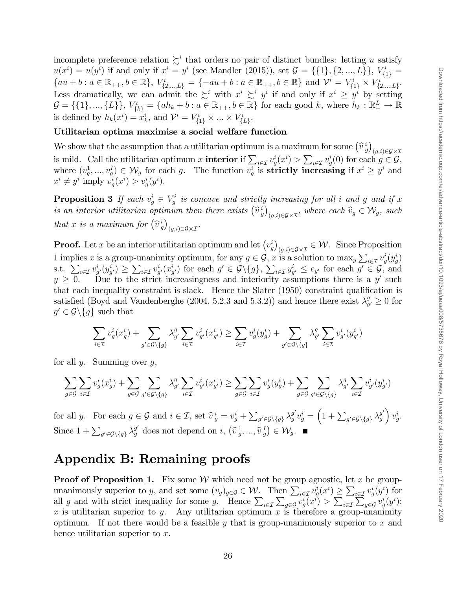incomplete preference relation  $\succsim^i$  that orders no pair of distinct bundles: letting u satisfy  $u(x^{i}) = u(y^{i})$  if and only if  $x^{i} = y^{i}$  (see Mandler (2015)), set  $\mathcal{G} = \{\{1\}, \{2, ..., L\}\}, V_{\{1\}}^{i} = \{1, ..., L\}$  $\{au + b : a \in \mathbb{R}_{++}, b \in \mathbb{R}\}, V^i_{\{2,\dots,L\}} = \{-au + b : a \in \mathbb{R}_{++}, b \in \mathbb{R}\} \text{ and } \mathcal{V}^i = V^i_{\{1\}} \times V^i_{\{2,\dots,L\}}.$ Less dramatically, we can admit the  $\sum_{i=1}^{i} y_i$  with  $x^i \sum_{i=1}^{i} y_i^i$  if and only if  $x^i \geq y^i$  by setting  $\mathcal{G} = \{\{1\}, ..., \{L\}\}, V_{\{k\}}^i = \{ah_k + b : a \in \mathbb{R}_{++}, b \in \mathbb{R}\}$  for each good k, where  $h_k : \mathbb{R}_{+}^L \to \mathbb{R}$ is defined by  $h_k(x^i) = x^i_k$ , and  $\mathcal{V}^i = V^i_{\{1\}} \times ... \times V^i_{\{L\}}$ .

#### Utilitarian optima maximise a social welfare function

We show that the assumption that a utilitarian optimum is a maximum for some  $(\hat{v}_g^i)$  $(g,i)$  $\in$  $\mathcal{G}\times\mathcal{I}$ is mild. Call the utilitarian optimum x **interior** if  $\sum_{i \in \mathcal{I}} v_g^i(x^i) > \sum_{i \in \mathcal{I}} v_g^i(0)$  for each  $g \in \mathcal{G}$ , where  $(v_g^1, ..., v_g^I) \in W_g$  for each g. The function  $v_g^i$  is **strictly increasing** if  $x^i \geq y^i$  and  $x^i \neq y^i$  imply  $v_g^i(x^i) > v_g^i(y^i)$ .

**Proposition 3** If each  $v_g^i \in V_g^i$  is concave and strictly increasing for all i and g and if x is an interior utilitarian optimum then there exists  $(\hat{v}_g^i)$  $(y,i) \in \mathcal{G} \times \mathcal{I}$ , where each  $\widehat{v}_g \in \mathcal{W}_g$ , such that x is a maximum for  $(\hat{v}_g^i)$  $(g,i) \in \mathcal{G} \times \mathcal{I}$ .

**Proof.** Let x be an interior utilitarian optimum and let  $(v_g^i)$  $(g,i)\in\mathcal{G}\times\mathcal{I}}\in\mathcal{W}$ . Since Proposition 1 implies x is a group-unanimity optimum, for any  $g \in \mathcal{G}$ , x is a solution to max<sub>y</sub>  $\sum_{i \in \mathcal{I}} v_g^i(y_g^i)$ s.t.  $\sum_{i\in\mathcal{I}} v_{g'}^i(y_{g'}^i) \geq \sum_{i\in\mathcal{I}} v_{g'}^i(x_{g'}^i)$  for each  $g' \in \mathcal{G}\setminus\{g\}$ ,  $\sum_{i\in\mathcal{I}} y_{g'}^i \leq e_{g'}$  for each  $g' \in \mathcal{G}$ , and  $y \geq 0$ . Due to the strict increasingness and interiority assumptions there is a y' such that each inequality constraint is slack. Hence the Slater  $(1950)$  constraint qualification is satisfied (Boyd and Vandenberghe (2004, 5.2.3 and 5.3.2)) and hence there exist  $\lambda_q^g$  $g'_{g'} \geq 0$  for  $g' \in \mathcal{G} \backslash \{g\}$  such that

$$
\sum_{i\in\mathcal{I}}v^i_g(x^i_g) + \sum_{g'\in\mathcal{G}\backslash\{g\}}\lambda^g_{g'}\sum_{i\in\mathcal{I}}v^i_{g'}(x^i_{g'}) \geq \sum_{i\in\mathcal{I}}v^i_g(y^i_g) + \sum_{g'\in\mathcal{G}\backslash\{g\}}\lambda^g_{g'}\sum_{i\in\mathcal{I}}v^i_{g'}(y^i_{g'})
$$

for all  $y$ . Summing over  $q$ ,

$$
\sum_{g\in\mathcal{G}}\sum_{i\in\mathcal{I}}v^i_g(x^i_g) + \sum_{g\in\mathcal{G}}\sum_{g'\in\mathcal{G}\backslash\{g\}}\lambda^g_{g'}\sum_{i\in\mathcal{I}}v^i_{g'}(x^i_{g'}) \geq \sum_{g\in\mathcal{G}}\sum_{i\in\mathcal{I}}v^i_g(y^i_g) + \sum_{g\in\mathcal{G}}\sum_{g'\in\mathcal{G}\backslash\{g\}}\lambda^g_{g'}\sum_{i\in\mathcal{I}}v^i_{g'}(y^i_{g'})
$$

for all y. For each  $g \in \mathcal{G}$  and  $i \in \mathcal{I}$ , set  $\hat{v}^i_g = v^i_g + \sum_{g' \in \mathcal{G} \setminus \{g\}} \lambda^{g'}_g v^i_g = \left(1 + \sum_{g' \in \mathcal{G} \setminus \{g\}} \lambda^{g'}_g\right)$  $\Big) v_g^i.$ Since  $1 + \sum_{g' \in \mathcal{G} \setminus \{g\}} \lambda_g^{g'}$  does not depend on  $i, (\hat{v}_g^1, ..., \hat{v}_g^1) \in \mathcal{W}_g$ .

#### Appendix B: Remaining proofs

**Proof of Proposition 1.** Fix some W which need not be group agnostic, let x be groupunanimously superior to y, and set some  $(v_g)_{g \in \mathcal{G}} \in \mathcal{W}$ . Then  $\sum_{i \in \mathcal{I}} v^i_g(x^i) \geq \sum_{i \in \mathcal{I}} v^i_g(y^i)$  for all g and with strict inequality for some g. Hence  $\sum_{i\in\mathcal{I}}\sum_{g\in\mathcal{G}}v^i_g(x^i) > \sum_{i\in\mathcal{I}}\sum_{g\in\mathcal{G}}v^i_g(y^i)$ : x is utilitarian superior to y. Any utilitarian optimum x is therefore a group-unanimity optimum. If not there would be a feasible y that is group-unanimously superior to x and hence utilitarian superior to x.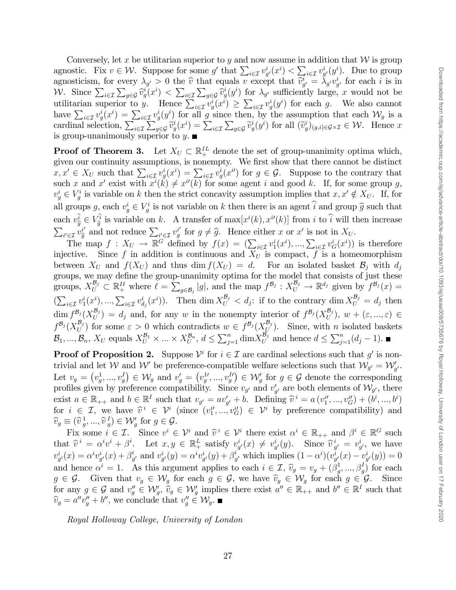Conversely, let x be utilitarian superior to y and now assume in addition that  $\mathcal W$  is group agnostic. Fix  $v \in \mathcal{W}$ . Suppose for some g' that  $\sum_{i \in \mathcal{I}} v_{g'}^i(x^i) < \sum_{i \in \mathcal{I}} v_{g'}^i(y^i)$ . Due to group agnosticism, for every  $\lambda_{g'} > 0$  the  $\hat{v}$  that equals v except that  $\hat{v}_{g'}^i = \lambda_{g'} v_{g'}^i$  for each i is in W. Since  $\sum_{i\in\mathcal{I}}\sum_{g\in\mathcal{G}}\hat{v}_g^i(x^i)<\sum_{i\in\mathcal{I}}\sum_{g\in\mathcal{G}}\hat{v}_g^i(y^i)$  for  $\lambda_{g'}$  sufficiently large, x would not be utilitarian superior to y. Hence  $\sum_{i\in\mathcal{I}} v_g^i(x^i) \geq \sum_{i\in\mathcal{I}} v_g^i(y^i)$  for each g. We also cannot have  $\sum_{i\in\mathcal{I}}v_g^i(x^i)=\sum_{i\in\mathcal{I}}v_g^i(y^i)$  for all g since then, by the assumption that each  $\mathcal{W}_g$  is a cardinal selection,  $\sum_{i\in\mathcal{I}}\sum_{g\in\mathcal{G}}\widetilde{v}_g^i(x^i)=\sum_{i\in\mathcal{I}}\sum_{g\in\mathcal{G}}\widetilde{v}_g^i(y^i)$  for all  $(\widetilde{v}_g^i)_{(g,i)\in\mathcal{G}\times\mathcal{I}}\in\mathcal{W}$ . Hence x is group-unanimously superior to  $y$ .

**Proof of Theorem 3.** Let  $X_U \subset \mathbb{R}^{IL}_+$  denote the set of group-unanimity optima which, given our continuity assumptions, is nonempty. We first show that there cannot be distinct  $x, x' \in X_U$  such that  $\sum_{i \in \mathcal{I}} v^i_g(x^i) = \sum_{i \in \mathcal{I}} v^i_g(x^{i'})$  for  $g \in \mathcal{G}$ . Suppose to the contrary that such x and x' exist with  $x^{i}(k) \neq x^{i}(k)$  for some agent i and good k. If, for some group g,  $v_g^i \in V_g^i$  is variable on k then the strict concavity assumption implies that  $x, x' \notin X_U$ . If, for all groups  $g$ , each  $v_g^i \in V_g^i$  is not variable on k then there is an agent  $\hat{i}$  and group  $\hat{g}$  such that each  $v^i_{\hat{g}} \in V^i_{\hat{g}}$  is variable on k. A transfer of  $\max[x^i(k), x^{i'}(k)]$  from i to i will then increase  $\sum_{i' \in \mathcal{I}} v_{\hat{g}}^{i'}$  and not reduce  $\sum_{i' \in \mathcal{I}} v_{g}^{i'}$  for  $g \neq \hat{g}$ . Hence either x or x' is not in  $X_U$ .

The map  $f: X_U \to \mathbb{R}^G$  defined by  $f(x) = (\sum_{i \in \mathcal{I}} v_1^i(x^i), ..., \sum_{i \in \mathcal{I}} v_G^i(x^i))$  is therefore injective. Since f in addition is continuous and  $X_U$  is compact, f is a homeomorphism between  $X_U$  and  $f(X_U)$  and thus dim  $f(X_U) = d$ . For an isolated basket  $B_j$  with  $d_j$ groups, we may define the group-unanimity optima for the model that consists of just these groups,  $X_U^{\mathcal{B}_j} \subset \mathbb{R}_+^{I\ell}$  where  $\ell = \sum_{g \in \mathcal{B}_j} |g|$ , and the map  $f^{\mathcal{B}_j} : X_U^{\mathcal{B}_j} \to \mathbb{R}^{d_j}$  given by  $f^{\mathcal{B}_j}(x) =$  $\left(\sum_{i\in\mathcal{I}}v_1^i(x^i),...,\sum_{i\in\mathcal{I}}v_{d_j}^i(x^i)\right)$ . Then dim  $X_U^{\mathcal{B}_j} < d_j$ : if to the contrary dim  $X_U^{\mathcal{B}_j} = d_j$  then  $\dim f^{\mathcal{B}_j}(X_U^{\mathcal{B}_j}) = d_j$  and, for any w in the nonempty interior of  $f^{\mathcal{B}_j}(X_U^{\mathcal{B}_j}), w + (\varepsilon, ..., \varepsilon) \in$  $f^{\mathcal{B}_j}(X_U^{\mathcal{B}_j})$  for some  $\varepsilon > 0$  which contradicts  $w \in f^{\mathcal{B}_j}(X_U^{\mathcal{B}_j})$ . Since, with n isolated baskets  $\mathcal{B}_1, ..., \mathcal{B}_n$ ,  $X_U$  equals  $X_U^{\mathcal{B}_1} \times ... \times X_U^{\mathcal{B}_n}$ ,  $d \le \sum_{j=1}^n \dim X_U^{\mathcal{B}_j}$  and hence  $d \le \sum_{j=1}^n (d_j - 1)$ .

**Proof of Proposition 2.** Suppose  $\mathcal{V}^i$  for  $i \in \mathcal{I}$  are cardinal selections such that g' is nontrivial and let W and W' be preference-compatible welfare selections such that  $\mathcal{W}_{g'} = \mathcal{W}'_{g'}$ . Let  $v_g = (v_g^1, ..., v_g^I) \in \mathcal{W}_g$  and  $v_g' = (v_g^1, ..., v_g^I) \in \mathcal{W}_g'$  for  $g \in \mathcal{G}$  denote the corresponding profiles given by preference compatibility. Since  $v_{g'}$  and  $v'_{g'}$  are both elements of  $\mathcal{W}_{g'}$ , there exist  $a \in \mathbb{R}_{++}$  and  $b \in \mathbb{R}^I$  such that  $v_{g'} = av'_{g'} + b$ . Defining  $\hat{v}^i = a(v_1^{i'}, ..., v_G^{i'}) + (b^i, ..., b^i)$ for  $i \in \mathcal{I}$ , we have  $\hat{v}^i \in \mathcal{V}^i$  (since  $(v_1^{i'},...,v_G^{i'}) \in \mathcal{V}^i$  by preference compatibility) and  $\widehat{v}_g \equiv (\widehat{v}_g^1, ..., \widehat{v}_g^I) \in \mathcal{W}'_g$  for  $g \in \mathcal{G}$ .

Fix some  $i \in \mathcal{I}$ . Since  $v^i \in \mathcal{V}^i$  and  $\widehat{v}^i \in \mathcal{V}^i$  there exist  $\alpha^i \in \mathbb{R}_{++}$  and  $\beta^i \in \mathbb{R}^G$  such  $\alpha^i \in \widehat{\mathbb{R}}_{++}$ that  $\widehat{v}^i = \alpha^i v^i + \beta^i$ . Let  $x, y \in \mathbb{R}^L$  satisfy  $v^i_{g'}(x) \neq v^i_{g'}(y)$ . Since  $\widehat{v}^i_{g'} = v^i_{g'}$ , we have  $v^i_{g'}(x) = \alpha^i v^i_{g'}(x) + \beta^i_{g'}$  $y'_{g'}$  and  $v_{g'}^{i}(y) = \alpha^{i}v_{g'}^{i}(y) + \beta_{g'}^{i}$  $j'_{g'}$  which implies  $(1 - \alpha^i)(v^i_{g'}(x) - v^i_{g'}(y)) = 0$ and hence  $\alpha^i = 1$ . As this argument applies to each  $i \in \mathcal{I}$ ,  $\widehat{v}_g = v_g + (\beta_g^1)$  $\mathbf{a}_g^1, \ldots, \mathbf{\beta}_g^I$  for each  $g \in \mathcal{G}$ . Given that  $v_g \in \mathcal{W}_g$  for each  $g \in \mathcal{G}$ , we have  $\widehat{v}_g \in \mathcal{W}_g$  for each  $g \in \mathcal{G}$ . Since for any  $g \in \mathcal{G}$  and  $v''_g \in \mathcal{W}'_g$ ,  $\widehat{v}_g \in \mathcal{W}'_g$  implies there exist  $a'' \in \mathbb{R}_{++}$  and  $b'' \in \mathbb{R}^I$  such that  $\widehat{v}_g = a''v''_g + b''$ , we conclude that  $v''_g \in \mathcal{W}_g$ .

Royal Holloway College, University of London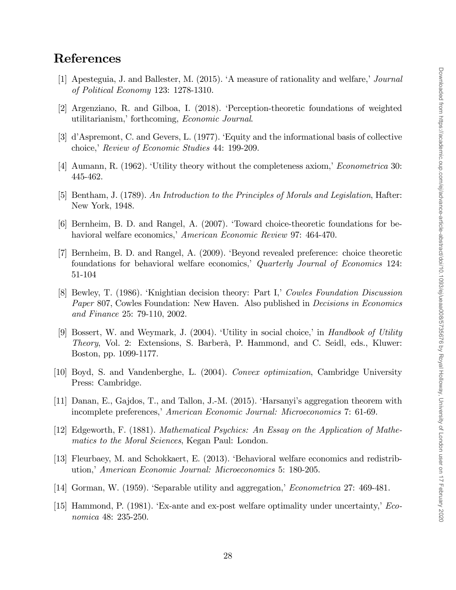# References

- [1] Apesteguia, J. and Ballester, M.  $(2015)$ . 'A measure of rationality and welfare,' *Journal* of Political Economy 123: 1278-1310.
- [2] Argenziano, R. and Gilboa, I. (2018). ëPerception-theoretic foundations of weighted utilitarianism,' forthcoming, Economic Journal.
- [3] d'Aspremont, C. and Gevers, L. (1977). 'Equity and the informational basis of collective choice, Review of Economic Studies 44: 199-209.
- [4] Aumann, R. (1962). Utility theory without the completeness axiom, *Econometrica* 30: 445-462.
- [5] Bentham, J. (1789). An Introduction to the Principles of Morals and Legislation, Hafter: New York, 1948.
- [6] Bernheim, B. D. and Rangel, A. (2007). ëToward choice-theoretic foundations for behavioral welfare economics, American Economic Review 97: 464-470.
- [7] Bernheim, B. D. and Rangel, A. (2009). ëBeyond revealed preference: choice theoretic foundations for behavioral welfare economics, Quarterly Journal of Economics 124: 51-104
- [8] Bewley, T. (1986). Knightian decision theory: Part I,' Cowles Foundation Discussion Paper 807, Cowles Foundation: New Haven. Also published in *Decisions in Economics* and Finance 25: 79-110, 2002.
- [9] Bossert, W. and Weymark, J.  $(2004)$ . Utility in social choice, in Handbook of Utility Theory, Vol. 2: Extensions, S. Barberà, P. Hammond, and C. Seidl, eds., Kluwer: Boston, pp. 1099-1177.
- [10] Boyd, S. and Vandenberghe, L. (2004). Convex optimization, Cambridge University Press: Cambridge.
- [11] Danan, E., Gajdos, T., and Tallon, J.-M. (2015). ëHarsanyiís aggregation theorem with incomplete preferences, American Economic Journal: Microeconomics 7: 61-69.
- [12] Edgeworth, F. (1881). Mathematical Psychics: An Essay on the Application of Mathematics to the Moral Sciences, Kegan Paul: London.
- [13] Fleurbaey, M. and Schokkaert, E. (2013). ëBehavioral welfare economics and redistribution,<sup>†</sup> American Economic Journal: Microeconomics 5: 180-205.
- [14] Gorman, W.  $(1959)$ . Separable utility and aggregation, *Econometrica* 27: 469-481.
- [15] Hammond, P. (1981). Ex-ante and ex-post welfare optimality under uncertainty,  $Eco$ nomica 48: 235-250.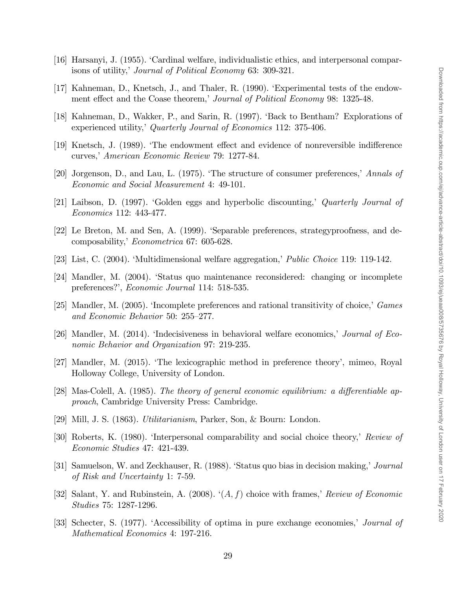- [16] Harsanyi, J. (1955). ëCardinal welfare, individualistic ethics, and interpersonal comparisons of utility,' Journal of Political Economy 63: 309-321.
- [17] Kahneman, D., Knetsch, J., and Thaler, R. (1990). ëExperimental tests of the endowment effect and the Coase theorem, Journal of Political Economy 98: 1325-48.
- [18] Kahneman, D., Wakker, P., and Sarin, R. (1997). ëBack to Bentham? Explorations of experienced utility,<sup>†</sup> Quarterly Journal of Economics 112: 375-406.
- [19] Knetsch, J. (1989). 'The endowment effect and evidence of nonreversible indifference curves,<sup>†</sup> American Economic Review 79: 1277-84.
- [20] Jorgenson, D., and Lau, L.  $(1975)$ . The structure of consumer preferences,<sup>†</sup> Annals of Economic and Social Measurement 4: 49-101.
- [21] Laibson, D. (1997). 'Golden eggs and hyperbolic discounting,' Quarterly Journal of Economics 112: 443-477.
- [22] Le Breton, M. and Sen, A. (1999). Separable preferences, strategyproofness, and decomposability,' Econometrica 67: 605-628.
- [23] List, C. (2004). 'Multidimensional welfare aggregation,' Public Choice 119: 119-142.
- [24] Mandler, M. (2004). ëStatus quo maintenance reconsidered: changing or incomplete preferences?', Economic Journal 114: 518-535.
- [25] Mandler, M.  $(2005)$ . The incomplete preferences and rational transitivity of choice, *Games* and Economic Behavior 50:  $255-277$ .
- [26] Mandler, M.  $(2014)$ . The ecisiveness in behavioral welfare economics, *Journal of Eco*nomic Behavior and Organization 97: 219-235.
- [27] Mandler, M. (2015). ëThe lexicographic method in preference theoryí, mimeo, Royal Holloway College, University of London.
- [28] Mas-Colell, A. (1985). The theory of general economic equilibrium: a differentiable approach, Cambridge University Press: Cambridge.
- [29] Mill, J. S. (1863). Utilitarianism, Parker, Son, & Bourn: London.
- [30] Roberts, K. (1980). The expressional comparability and social choice theory, Review of Economic Studies 47: 421-439.
- [31] Samuelson, W. and Zeckhauser, R. (1988). Status quo bias in decision making, *Journal* of Risk and Uncertainty 1: 7-59.
- [32] Salant, Y. and Rubinstein, A. (2008).  $(A, f)$  choice with frames, Review of Economic Studies 75: 1287-1296.
- [33] Schecter, S. (1977). Accessibility of optima in pure exchange economies, *Journal of* Mathematical Economics 4: 197-216.